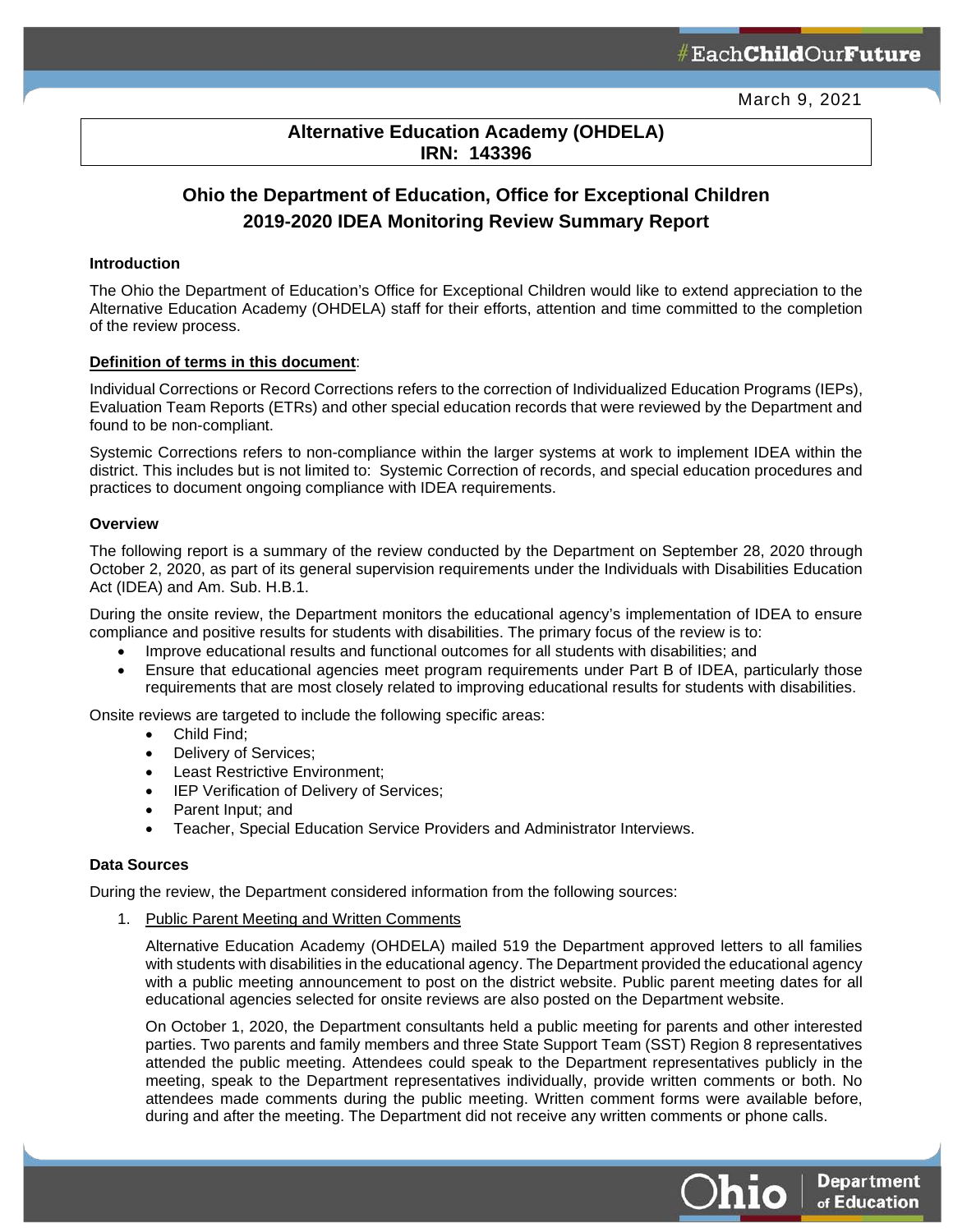March 9, 2021

**Department** 

of Education

 $O$ hio

# **Alternative Education Academy (OHDELA) IRN: 143396**

l

# **Ohio the Department of Education, Office for Exceptional Children 2019-2020 IDEA Monitoring Review Summary Report**

#### **Introduction**

The Ohio the Department of Education's Office for Exceptional Children would like to extend appreciation to the Alternative Education Academy (OHDELA) staff for their efforts, attention and time committed to the completion of the review process.

#### **Definition of terms in this document**:

Individual Corrections or Record Corrections refers to the correction of Individualized Education Programs (IEPs), Evaluation Team Reports (ETRs) and other special education records that were reviewed by the Department and found to be non-compliant.

Systemic Corrections refers to non-compliance within the larger systems at work to implement IDEA within the district. This includes but is not limited to: Systemic Correction of records, and special education procedures and practices to document ongoing compliance with IDEA requirements.

#### **Overview**

The following report is a summary of the review conducted by the Department on September 28, 2020 through October 2, 2020, as part of its general supervision requirements under the Individuals with Disabilities Education Act (IDEA) and Am. Sub. H.B.1.

During the onsite review, the Department monitors the educational agency's implementation of IDEA to ensure compliance and positive results for students with disabilities. The primary focus of the review is to:

- Improve educational results and functional outcomes for all students with disabilities; and
- Ensure that educational agencies meet program requirements under Part B of IDEA, particularly those requirements that are most closely related to improving educational results for students with disabilities.

Onsite reviews are targeted to include the following specific areas:

- Child Find;
- Delivery of Services;
- Least Restrictive Environment;
- IEP Verification of Delivery of Services;
- Parent Input; and
- Teacher, Special Education Service Providers and Administrator Interviews.

### **Data Sources**

During the review, the Department considered information from the following sources:

1. Public Parent Meeting and Written Comments

Alternative Education Academy (OHDELA) mailed 519 the Department approved letters to all families with students with disabilities in the educational agency. The Department provided the educational agency with a public meeting announcement to post on the district website. Public parent meeting dates for all educational agencies selected for onsite reviews are also posted on the Department website.

On October 1, 2020, the Department consultants held a public meeting for parents and other interested parties. Two parents and family members and three State Support Team (SST) Region 8 representatives attended the public meeting. Attendees could speak to the Department representatives publicly in the meeting, speak to the Department representatives individually, provide written comments or both. No attendees made comments during the public meeting. Written comment forms were available before, during and after the meeting. The Department did not receive any written comments or phone calls.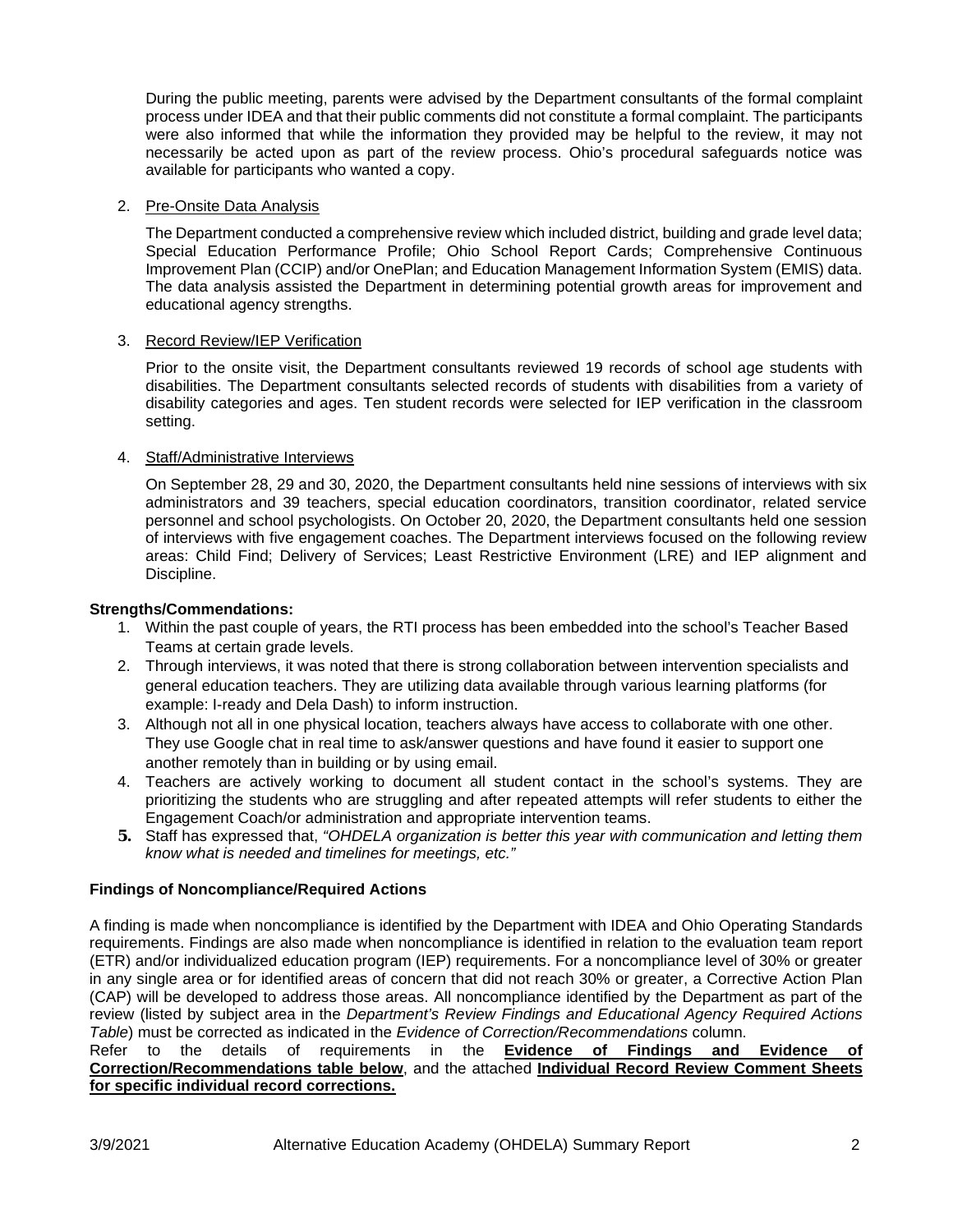During the public meeting, parents were advised by the Department consultants of the formal complaint process under IDEA and that their public comments did not constitute a formal complaint. The participants were also informed that while the information they provided may be helpful to the review, it may not necessarily be acted upon as part of the review process. Ohio's procedural safeguards notice was available for participants who wanted a copy.

### 2. Pre-Onsite Data Analysis

The Department conducted a comprehensive review which included district, building and grade level data; Special Education Performance Profile; Ohio School Report Cards; Comprehensive Continuous Improvement Plan (CCIP) and/or OnePlan; and Education Management Information System (EMIS) data. The data analysis assisted the Department in determining potential growth areas for improvement and educational agency strengths.

### 3. Record Review/IEP Verification

Prior to the onsite visit, the Department consultants reviewed 19 records of school age students with disabilities. The Department consultants selected records of students with disabilities from a variety of disability categories and ages. Ten student records were selected for IEP verification in the classroom setting.

### 4. Staff/Administrative Interviews

On September 28, 29 and 30, 2020, the Department consultants held nine sessions of interviews with six administrators and 39 teachers, special education coordinators, transition coordinator, related service personnel and school psychologists. On October 20, 2020, the Department consultants held one session of interviews with five engagement coaches. The Department interviews focused on the following review areas: Child Find; Delivery of Services; Least Restrictive Environment (LRE) and IEP alignment and Discipline.

### **Strengths/Commendations:**

- 1. Within the past couple of years, the RTI process has been embedded into the school's Teacher Based Teams at certain grade levels.
- 2. Through interviews, it was noted that there is strong collaboration between intervention specialists and general education teachers. They are utilizing data available through various learning platforms (for example: I-ready and Dela Dash) to inform instruction.
- 3. Although not all in one physical location, teachers always have access to collaborate with one other. They use Google chat in real time to ask/answer questions and have found it easier to support one another remotely than in building or by using email.
- 4. Teachers are actively working to document all student contact in the school's systems. They are prioritizing the students who are struggling and after repeated attempts will refer students to either the Engagement Coach/or administration and appropriate intervention teams.
- **5.** Staff has expressed that, *"OHDELA organization is better this year with communication and letting them know what is needed and timelines for meetings, etc."*

### **Findings of Noncompliance/Required Actions**

A finding is made when noncompliance is identified by the Department with IDEA and Ohio Operating Standards requirements. Findings are also made when noncompliance is identified in relation to the evaluation team report (ETR) and/or individualized education program (IEP) requirements. For a noncompliance level of 30% or greater in any single area or for identified areas of concern that did not reach 30% or greater, a Corrective Action Plan (CAP) will be developed to address those areas. All noncompliance identified by the Department as part of the review (listed by subject area in the *Department's Review Findings and Educational Agency Required Actions Table*) must be corrected as indicated in the *Evidence of Correction/Recommendations* column.

Refer to the details of requirements in the **Evidence of Findings and Evidence of Correction/Recommendations table below**, and the attached **Individual Record Review Comment Sheets for specific individual record corrections.**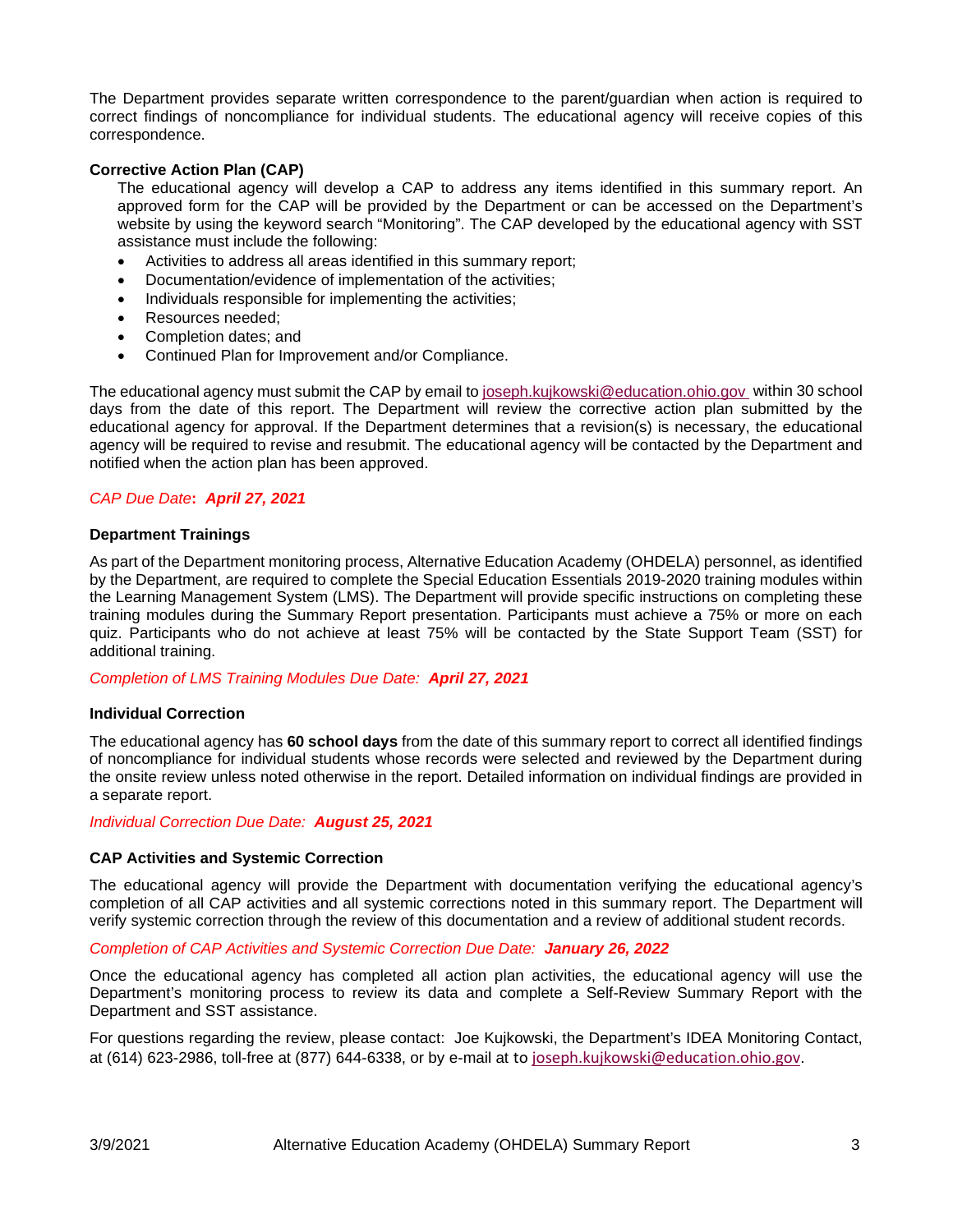The Department provides separate written correspondence to the parent/guardian when action is required to correct findings of noncompliance for individual students. The educational agency will receive copies of this correspondence.

### **Corrective Action Plan (CAP)**

The educational agency will develop a CAP to address any items identified in this summary report. An approved form for the CAP will be provided by the Department or can be accessed on the Department's website by using the keyword search "Monitoring". The CAP developed by the educational agency with SST assistance must include the following:

- Activities to address all areas identified in this summary report;
- Documentation/evidence of implementation of the activities;
- Individuals responsible for implementing the activities;
- Resources needed;
- Completion dates; and
- Continued Plan for Improvement and/or Compliance.

The educational agency must submit the CAP by email to [joseph.kujkowski@education.ohio.gov](mailto:joseph.kujkowski@education.ohio.gov)\_within 30 school days from the date of this report. The Department will review the corrective action plan submitted by the educational agency for approval. If the Department determines that a revision(s) is necessary, the educational agency will be required to revise and resubmit. The educational agency will be contacted by the Department and notified when the action plan has been approved.

### *CAP Due Date***:** *April 27, 2021*

#### **Department Trainings**

As part of the Department monitoring process, Alternative Education Academy (OHDELA) personnel, as identified by the Department, are required to complete the Special Education Essentials 2019-2020 training modules within the Learning Management System (LMS). The Department will provide specific instructions on completing these training modules during the Summary Report presentation. Participants must achieve a 75% or more on each quiz. Participants who do not achieve at least 75% will be contacted by the State Support Team (SST) for additional training.

#### *Completion of LMS Training Modules Due Date: April 27, 2021*

#### **Individual Correction**

The educational agency has **60 school days** from the date of this summary report to correct all identified findings of noncompliance for individual students whose records were selected and reviewed by the Department during the onsite review unless noted otherwise in the report. Detailed information on individual findings are provided in a separate report.

#### *Individual Correction Due Date: August 25, 2021*

#### **CAP Activities and Systemic Correction**

The educational agency will provide the Department with documentation verifying the educational agency's completion of all CAP activities and all systemic corrections noted in this summary report. The Department will verify systemic correction through the review of this documentation and a review of additional student records.

#### *Completion of CAP Activities and Systemic Correction Due Date: January 26, 2022*

Once the educational agency has completed all action plan activities, the educational agency will use the Department's monitoring process to review its data and complete a Self-Review Summary Report with the Department and SST assistance.

For questions regarding the review, please contact: Joe Kujkowski, the Department's IDEA Monitoring Contact, at (614) 623-2986, toll-free at (877) 644-6338, or by e-mail at to [joseph.kujkowski@education.ohio.gov](mailto:joseph.kujkowski@education.ohio.gov).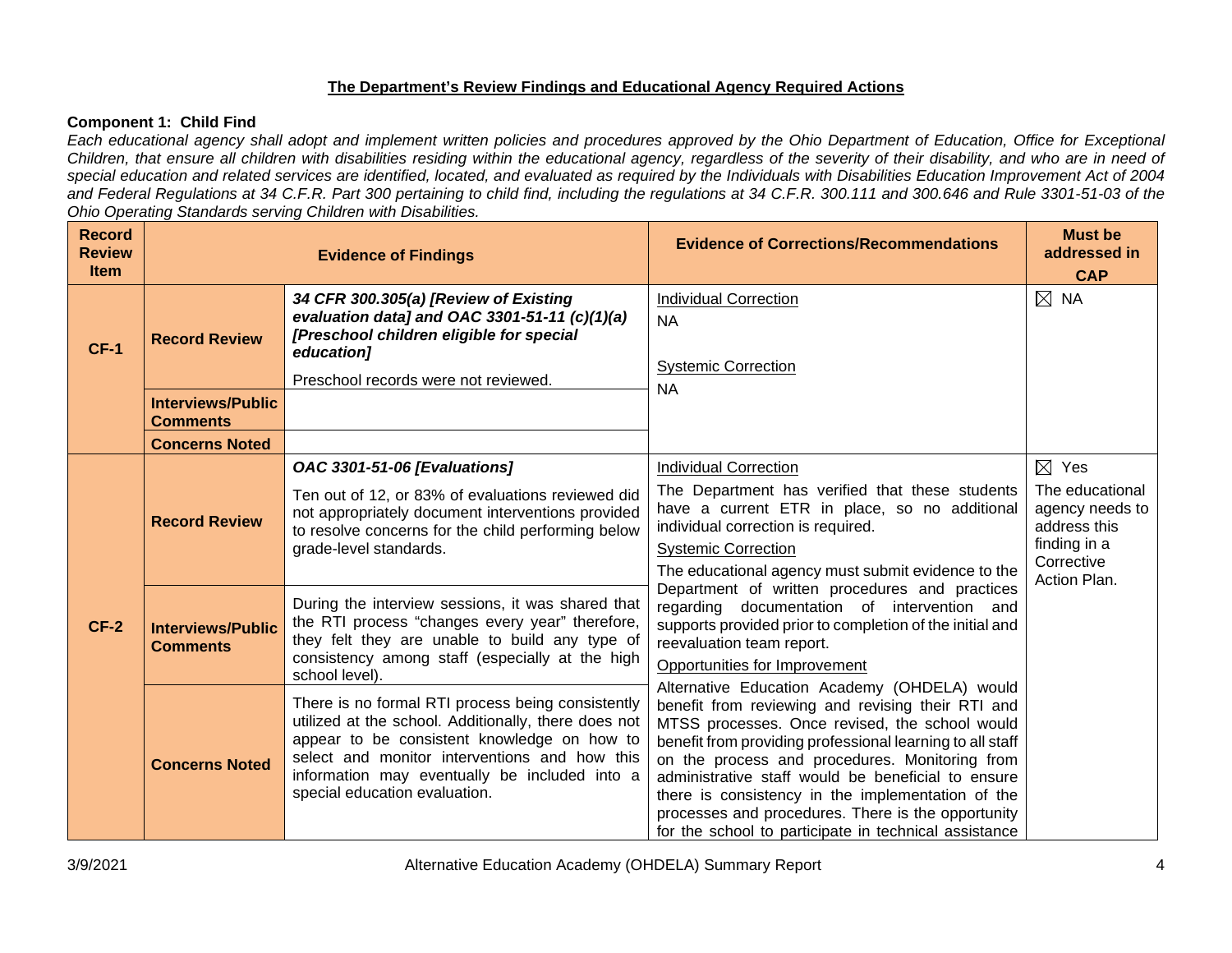### **The Department's Review Findings and Educational Agency Required Actions**

### **Component 1: Child Find**

*Each educational agency shall adopt and implement written policies and procedures approved by the Ohio Department of Education, Office for Exceptional Children, that ensure all children with disabilities residing within the educational agency, regardless of the severity of their disability, and who are in need of special education and related services are identified, located, and evaluated as required by the Individuals with Disabilities Education Improvement Act of 2004 and Federal Regulations at 34 C.F.R. Part 300 pertaining to child find, including the regulations at 34 C.F.R. 300.111 and 300.646 and Rule 3301-51-03 of the Ohio Operating Standards serving Children with Disabilities.* 

| <b>Record</b><br><b>Review</b><br><b>Item</b> |                                                                     | <b>Evidence of Findings</b>                                                                                                                                                                                                                                                                 | <b>Evidence of Corrections/Recommendations</b>                                                                                                                                                                                                                                                                                                                                                                                                                                               | <b>Must be</b><br>addressed in<br><b>CAP</b>                                                                        |
|-----------------------------------------------|---------------------------------------------------------------------|---------------------------------------------------------------------------------------------------------------------------------------------------------------------------------------------------------------------------------------------------------------------------------------------|----------------------------------------------------------------------------------------------------------------------------------------------------------------------------------------------------------------------------------------------------------------------------------------------------------------------------------------------------------------------------------------------------------------------------------------------------------------------------------------------|---------------------------------------------------------------------------------------------------------------------|
| $CF-1$                                        | <b>Record Review</b><br><b>Interviews/Public</b><br><b>Comments</b> | 34 CFR 300.305(a) [Review of Existing<br>evaluation data] and OAC 3301-51-11 (c)(1)(a)<br>[Preschool children eligible for special<br>education]<br>Preschool records were not reviewed.                                                                                                    | <b>Individual Correction</b><br><b>NA</b><br><b>Systemic Correction</b><br><b>NA</b>                                                                                                                                                                                                                                                                                                                                                                                                         | $\boxtimes$ NA                                                                                                      |
|                                               | <b>Concerns Noted</b>                                               |                                                                                                                                                                                                                                                                                             |                                                                                                                                                                                                                                                                                                                                                                                                                                                                                              |                                                                                                                     |
| $CF-2$                                        | <b>Record Review</b>                                                | <b>OAC 3301-51-06 [Evaluations]</b><br>Ten out of 12, or 83% of evaluations reviewed did<br>not appropriately document interventions provided<br>to resolve concerns for the child performing below<br>grade-level standards.                                                               | <b>Individual Correction</b><br>The Department has verified that these students<br>have a current ETR in place, so no additional<br>individual correction is required.<br><b>Systemic Correction</b><br>The educational agency must submit evidence to the<br>Department of written procedures and practices<br>regarding documentation of intervention and<br>supports provided prior to completion of the initial and<br>reevaluation team report.<br>Opportunities for Improvement        | $\boxtimes$ Yes<br>The educational<br>agency needs to<br>address this<br>finding in a<br>Corrective<br>Action Plan. |
|                                               | <b>Interviews/Public</b><br><b>Comments</b>                         | During the interview sessions, it was shared that<br>the RTI process "changes every year" therefore,<br>they felt they are unable to build any type of<br>consistency among staff (especially at the high<br>school level).                                                                 |                                                                                                                                                                                                                                                                                                                                                                                                                                                                                              |                                                                                                                     |
|                                               | <b>Concerns Noted</b>                                               | There is no formal RTI process being consistently<br>utilized at the school. Additionally, there does not<br>appear to be consistent knowledge on how to<br>select and monitor interventions and how this<br>information may eventually be included into a<br>special education evaluation. | Alternative Education Academy (OHDELA) would<br>benefit from reviewing and revising their RTI and<br>MTSS processes. Once revised, the school would<br>benefit from providing professional learning to all staff<br>on the process and procedures. Monitoring from<br>administrative staff would be beneficial to ensure<br>there is consistency in the implementation of the<br>processes and procedures. There is the opportunity<br>for the school to participate in technical assistance |                                                                                                                     |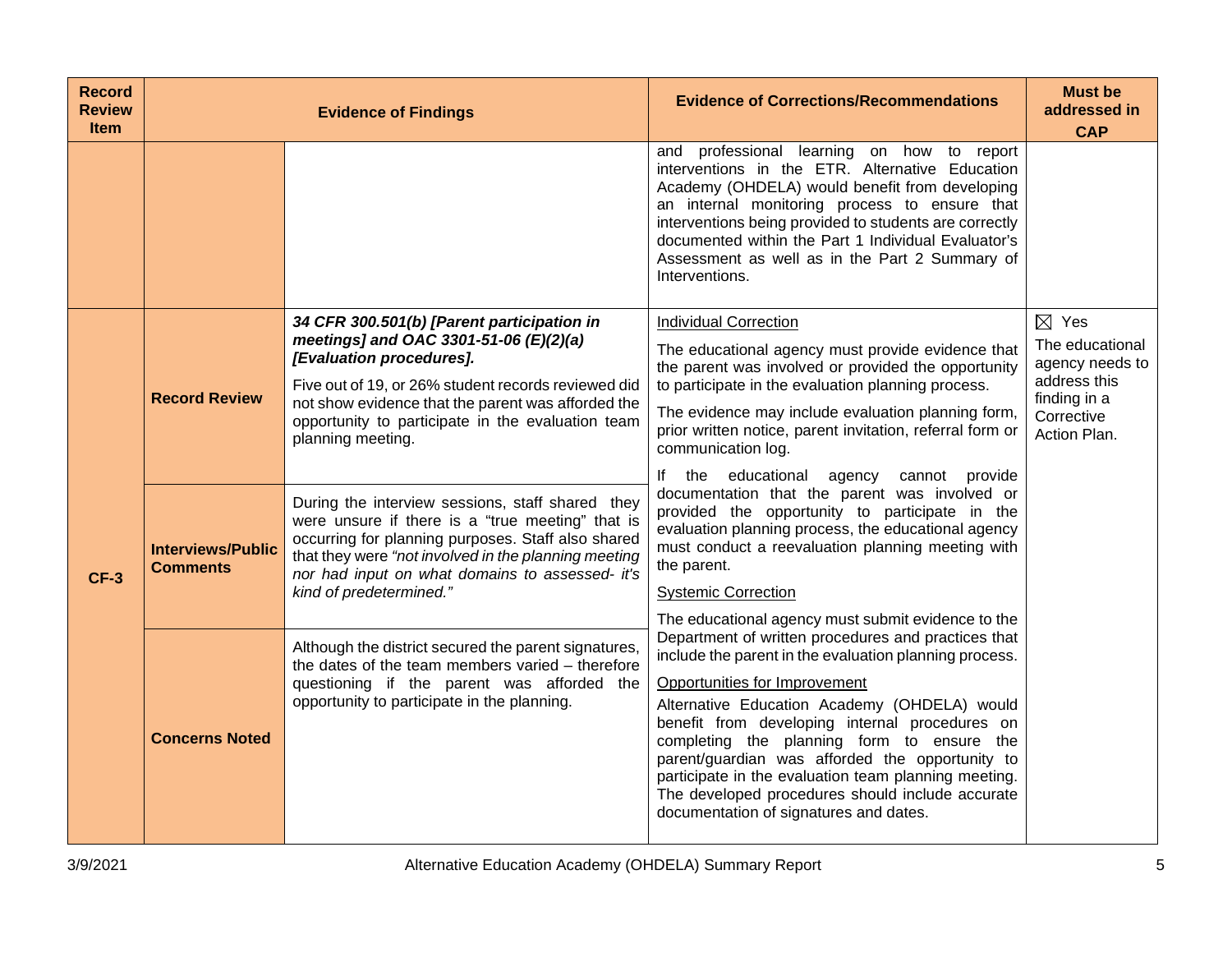| <b>Record</b><br><b>Review</b><br><b>Item</b> |                                             | <b>Evidence of Findings</b>                                                                                                                                                                                                                                           | <b>Evidence of Corrections/Recommendations</b>                                                                                                                                                                                                                                                                                                                                        | <b>Must be</b><br>addressed in<br><b>CAP</b>       |
|-----------------------------------------------|---------------------------------------------|-----------------------------------------------------------------------------------------------------------------------------------------------------------------------------------------------------------------------------------------------------------------------|---------------------------------------------------------------------------------------------------------------------------------------------------------------------------------------------------------------------------------------------------------------------------------------------------------------------------------------------------------------------------------------|----------------------------------------------------|
|                                               |                                             |                                                                                                                                                                                                                                                                       | and professional learning on how to report<br>interventions in the ETR. Alternative Education<br>Academy (OHDELA) would benefit from developing<br>an internal monitoring process to ensure that<br>interventions being provided to students are correctly<br>documented within the Part 1 Individual Evaluator's<br>Assessment as well as in the Part 2 Summary of<br>Interventions. |                                                    |
|                                               |                                             | 34 CFR 300.501(b) [Parent participation in<br>meetings] and OAC 3301-51-06 (E)(2)(a)                                                                                                                                                                                  | <b>Individual Correction</b>                                                                                                                                                                                                                                                                                                                                                          | $\boxtimes$ Yes                                    |
|                                               |                                             | [Evaluation procedures].                                                                                                                                                                                                                                              | The educational agency must provide evidence that<br>the parent was involved or provided the opportunity                                                                                                                                                                                                                                                                              | The educational<br>agency needs to<br>address this |
|                                               | <b>Record Review</b>                        | Five out of 19, or 26% student records reviewed did<br>not show evidence that the parent was afforded the                                                                                                                                                             | to participate in the evaluation planning process.<br>The evidence may include evaluation planning form,                                                                                                                                                                                                                                                                              | finding in a<br>Corrective                         |
|                                               |                                             | opportunity to participate in the evaluation team<br>planning meeting.                                                                                                                                                                                                | prior written notice, parent invitation, referral form or<br>communication log.                                                                                                                                                                                                                                                                                                       | Action Plan.                                       |
|                                               |                                             |                                                                                                                                                                                                                                                                       | If the educational<br>agency cannot provide<br>documentation that the parent was involved or                                                                                                                                                                                                                                                                                          |                                                    |
|                                               | <b>Interviews/Public</b><br><b>Comments</b> | During the interview sessions, staff shared they<br>were unsure if there is a "true meeting" that is<br>occurring for planning purposes. Staff also shared<br>that they were "not involved in the planning meeting<br>nor had input on what domains to assessed- it's | provided the opportunity to participate in the<br>evaluation planning process, the educational agency<br>must conduct a reevaluation planning meeting with<br>the parent.                                                                                                                                                                                                             |                                                    |
| $CF-3$                                        |                                             | kind of predetermined."                                                                                                                                                                                                                                               | <b>Systemic Correction</b>                                                                                                                                                                                                                                                                                                                                                            |                                                    |
|                                               |                                             | Although the district secured the parent signatures,<br>the dates of the team members varied - therefore                                                                                                                                                              | The educational agency must submit evidence to the<br>Department of written procedures and practices that<br>include the parent in the evaluation planning process.                                                                                                                                                                                                                   |                                                    |
|                                               |                                             | questioning if the parent was afforded the<br>opportunity to participate in the planning.                                                                                                                                                                             | Opportunities for Improvement                                                                                                                                                                                                                                                                                                                                                         |                                                    |
|                                               | <b>Concerns Noted</b>                       |                                                                                                                                                                                                                                                                       | Alternative Education Academy (OHDELA) would<br>benefit from developing internal procedures on<br>completing the planning form to ensure the<br>parent/guardian was afforded the opportunity to<br>participate in the evaluation team planning meeting.<br>The developed procedures should include accurate<br>documentation of signatures and dates.                                 |                                                    |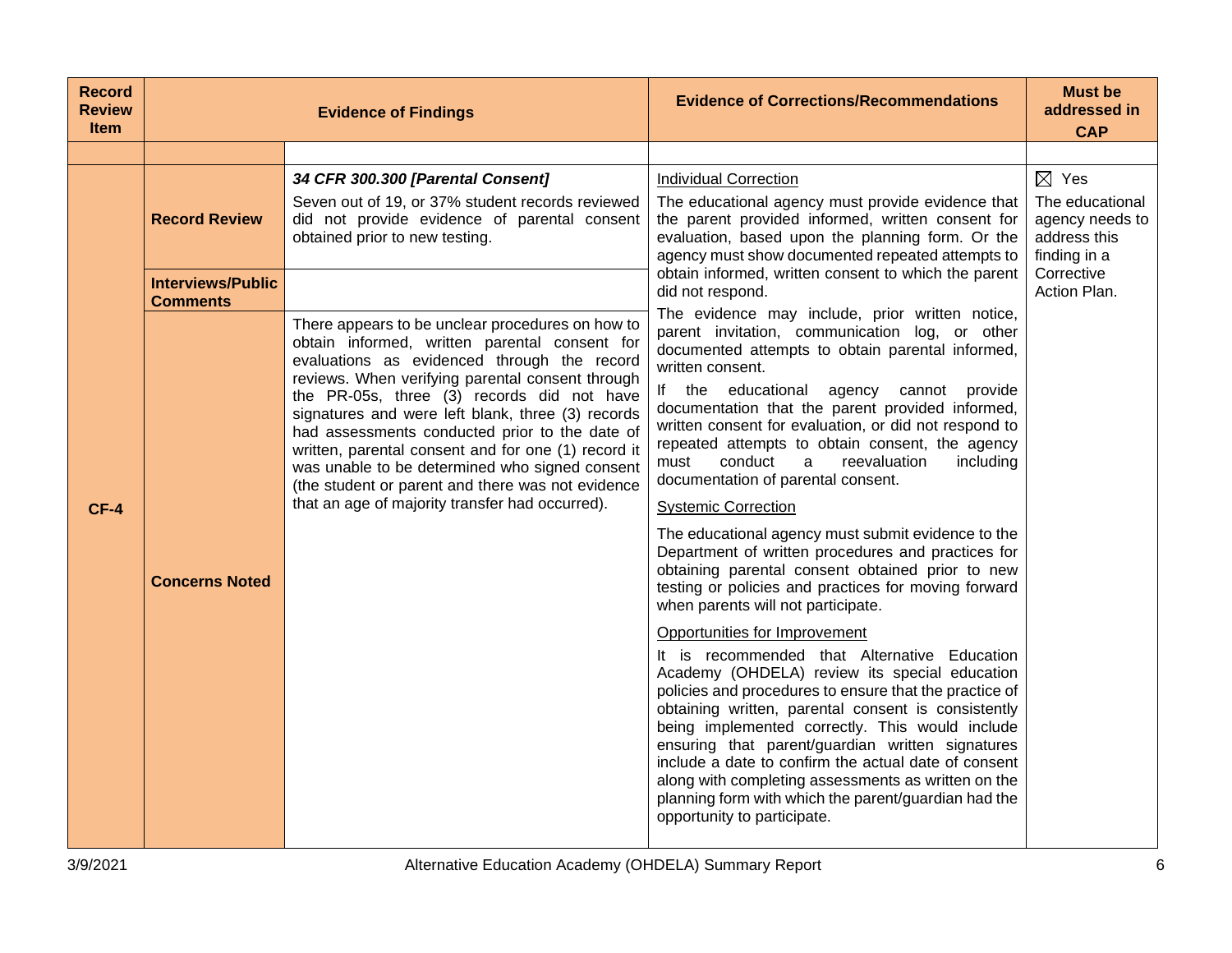| <b>Record</b><br><b>Review</b><br><b>Item</b> | <b>Evidence of Findings</b>                 |                                                                                                                                                                                                                                                                                                                                                                                                                                                                                                                                                                            | <b>Evidence of Corrections/Recommendations</b>                                                                                                                                                                                                                                                                                                                                                                                                                                                                              | <b>Must be</b><br>addressed in<br><b>CAP</b>                                                        |
|-----------------------------------------------|---------------------------------------------|----------------------------------------------------------------------------------------------------------------------------------------------------------------------------------------------------------------------------------------------------------------------------------------------------------------------------------------------------------------------------------------------------------------------------------------------------------------------------------------------------------------------------------------------------------------------------|-----------------------------------------------------------------------------------------------------------------------------------------------------------------------------------------------------------------------------------------------------------------------------------------------------------------------------------------------------------------------------------------------------------------------------------------------------------------------------------------------------------------------------|-----------------------------------------------------------------------------------------------------|
|                                               |                                             |                                                                                                                                                                                                                                                                                                                                                                                                                                                                                                                                                                            |                                                                                                                                                                                                                                                                                                                                                                                                                                                                                                                             |                                                                                                     |
| $CF-4$                                        | <b>Record Review</b>                        | 34 CFR 300.300 [Parental Consent]<br>Seven out of 19, or 37% student records reviewed<br>did not provide evidence of parental consent<br>obtained prior to new testing.                                                                                                                                                                                                                                                                                                                                                                                                    | <b>Individual Correction</b><br>The educational agency must provide evidence that<br>the parent provided informed, written consent for<br>evaluation, based upon the planning form. Or the<br>agency must show documented repeated attempts to                                                                                                                                                                                                                                                                              | $\boxtimes$ Yes<br>The educational<br>agency needs to<br>address this<br>finding in a<br>Corrective |
|                                               | <b>Interviews/Public</b><br><b>Comments</b> |                                                                                                                                                                                                                                                                                                                                                                                                                                                                                                                                                                            | obtain informed, written consent to which the parent<br>did not respond.                                                                                                                                                                                                                                                                                                                                                                                                                                                    | Action Plan.                                                                                        |
|                                               |                                             | There appears to be unclear procedures on how to<br>obtain informed, written parental consent for<br>evaluations as evidenced through the record<br>reviews. When verifying parental consent through<br>the PR-05s, three (3) records did not have<br>signatures and were left blank, three (3) records<br>had assessments conducted prior to the date of<br>written, parental consent and for one (1) record it<br>was unable to be determined who signed consent<br>(the student or parent and there was not evidence<br>that an age of majority transfer had occurred). | The evidence may include, prior written notice,<br>parent invitation, communication log, or other<br>documented attempts to obtain parental informed,<br>written consent.<br>If the educational<br>agency cannot<br>provide<br>documentation that the parent provided informed,<br>written consent for evaluation, or did not respond to<br>repeated attempts to obtain consent, the agency<br>conduct<br>reevaluation<br>including<br>a<br>must<br>documentation of parental consent.<br><b>Systemic Correction</b>        |                                                                                                     |
|                                               | <b>Concerns Noted</b>                       |                                                                                                                                                                                                                                                                                                                                                                                                                                                                                                                                                                            | The educational agency must submit evidence to the<br>Department of written procedures and practices for<br>obtaining parental consent obtained prior to new<br>testing or policies and practices for moving forward<br>when parents will not participate.<br>Opportunities for Improvement                                                                                                                                                                                                                                 |                                                                                                     |
|                                               |                                             |                                                                                                                                                                                                                                                                                                                                                                                                                                                                                                                                                                            | It is recommended that Alternative Education<br>Academy (OHDELA) review its special education<br>policies and procedures to ensure that the practice of<br>obtaining written, parental consent is consistently<br>being implemented correctly. This would include<br>ensuring that parent/guardian written signatures<br>include a date to confirm the actual date of consent<br>along with completing assessments as written on the<br>planning form with which the parent/guardian had the<br>opportunity to participate. |                                                                                                     |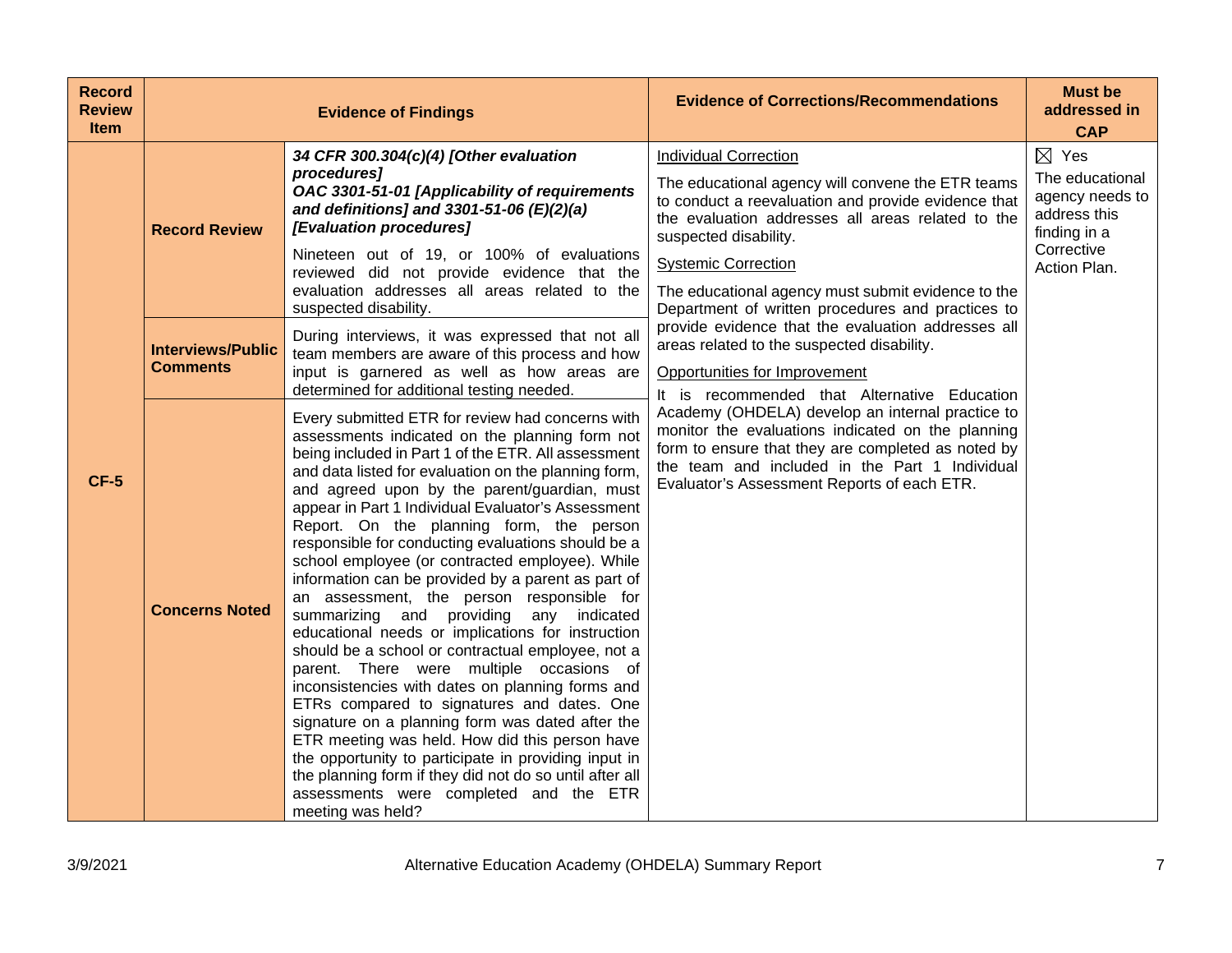| <b>Record</b><br><b>Review</b><br><b>Item</b> |                                             | <b>Evidence of Findings</b>                                                                                                                                                                                                                                                                                                                                                                                                                                                                                                                                                                                                                                                                                                                                                                                                                                                                                                                                                                                                                                                                                                                                                   | <b>Evidence of Corrections/Recommendations</b>                                                                                                                                                                                                                                                                                                                  | <b>Must be</b><br>addressed in<br><b>CAP</b>                                                                        |
|-----------------------------------------------|---------------------------------------------|-------------------------------------------------------------------------------------------------------------------------------------------------------------------------------------------------------------------------------------------------------------------------------------------------------------------------------------------------------------------------------------------------------------------------------------------------------------------------------------------------------------------------------------------------------------------------------------------------------------------------------------------------------------------------------------------------------------------------------------------------------------------------------------------------------------------------------------------------------------------------------------------------------------------------------------------------------------------------------------------------------------------------------------------------------------------------------------------------------------------------------------------------------------------------------|-----------------------------------------------------------------------------------------------------------------------------------------------------------------------------------------------------------------------------------------------------------------------------------------------------------------------------------------------------------------|---------------------------------------------------------------------------------------------------------------------|
|                                               | <b>Record Review</b>                        | 34 CFR 300.304(c)(4) [Other evaluation<br>procedures]<br>OAC 3301-51-01 [Applicability of requirements<br>and definitions] and 3301-51-06 $(E)(2)(a)$<br>[Evaluation procedures]<br>Nineteen out of 19, or 100% of evaluations<br>reviewed did not provide evidence that the<br>evaluation addresses all areas related to the<br>suspected disability.                                                                                                                                                                                                                                                                                                                                                                                                                                                                                                                                                                                                                                                                                                                                                                                                                        | <b>Individual Correction</b><br>The educational agency will convene the ETR teams<br>to conduct a reevaluation and provide evidence that<br>the evaluation addresses all areas related to the<br>suspected disability.<br><b>Systemic Correction</b><br>The educational agency must submit evidence to the<br>Department of written procedures and practices to | $\boxtimes$ Yes<br>The educational<br>agency needs to<br>address this<br>finding in a<br>Corrective<br>Action Plan. |
|                                               | <b>Interviews/Public</b><br><b>Comments</b> | During interviews, it was expressed that not all<br>team members are aware of this process and how<br>input is garnered as well as how areas are<br>determined for additional testing needed.                                                                                                                                                                                                                                                                                                                                                                                                                                                                                                                                                                                                                                                                                                                                                                                                                                                                                                                                                                                 | provide evidence that the evaluation addresses all<br>areas related to the suspected disability.<br>Opportunities for Improvement<br>It is recommended that Alternative Education                                                                                                                                                                               |                                                                                                                     |
| $CF-5$                                        | <b>Concerns Noted</b>                       | Every submitted ETR for review had concerns with<br>assessments indicated on the planning form not<br>being included in Part 1 of the ETR. All assessment<br>and data listed for evaluation on the planning form,<br>and agreed upon by the parent/guardian, must<br>appear in Part 1 Individual Evaluator's Assessment<br>Report. On the planning form, the person<br>responsible for conducting evaluations should be a<br>school employee (or contracted employee). While<br>information can be provided by a parent as part of<br>an assessment, the person responsible for<br>summarizing and providing<br>any indicated<br>educational needs or implications for instruction<br>should be a school or contractual employee, not a<br>parent. There were multiple occasions of<br>inconsistencies with dates on planning forms and<br>ETRs compared to signatures and dates. One<br>signature on a planning form was dated after the<br>ETR meeting was held. How did this person have<br>the opportunity to participate in providing input in<br>the planning form if they did not do so until after all<br>assessments were completed and the ETR<br>meeting was held? | Academy (OHDELA) develop an internal practice to<br>monitor the evaluations indicated on the planning<br>form to ensure that they are completed as noted by<br>the team and included in the Part 1 Individual<br>Evaluator's Assessment Reports of each ETR.                                                                                                    |                                                                                                                     |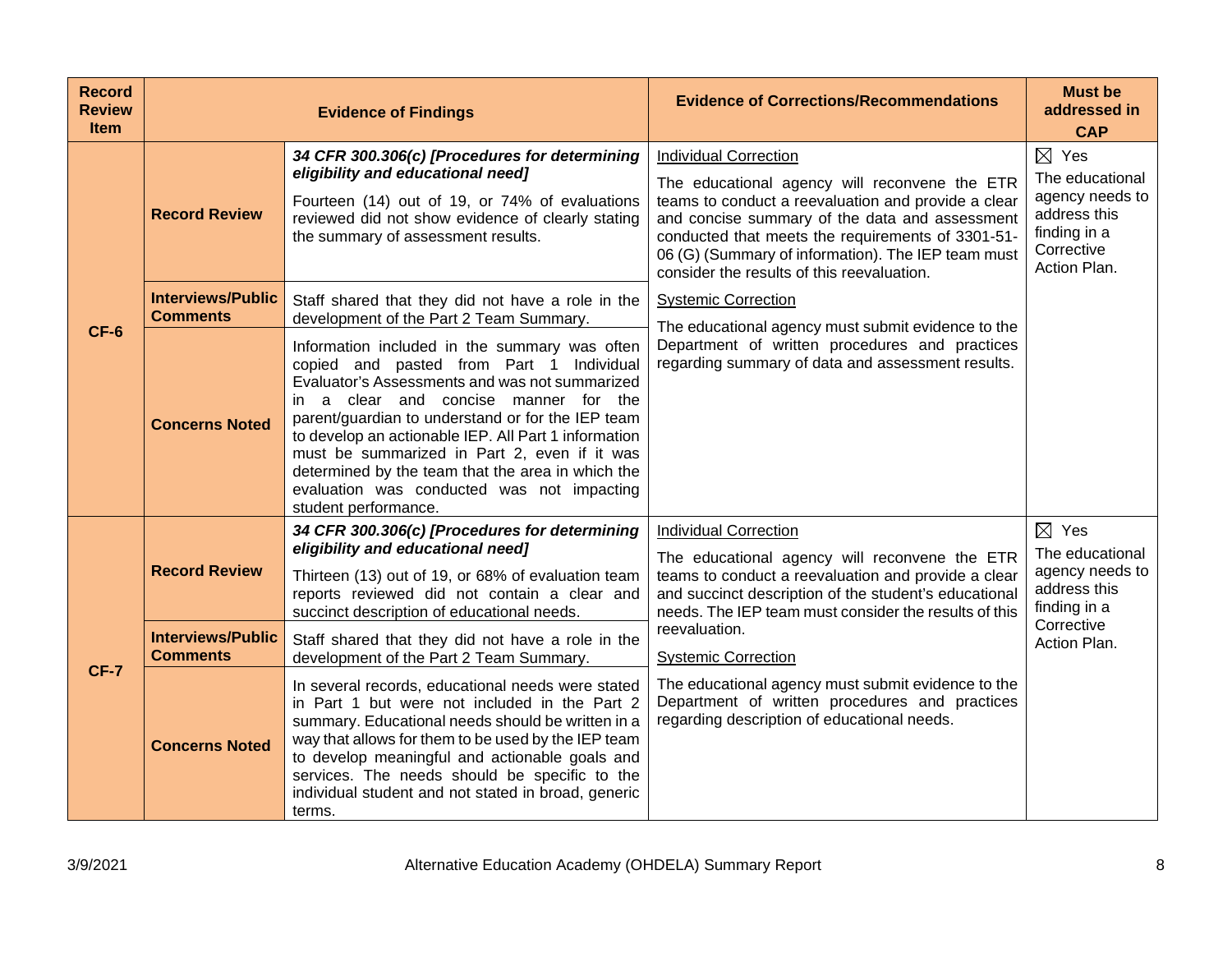| <b>Record</b><br><b>Review</b><br>Item |                                             | <b>Evidence of Findings</b>                                                                                                                                                                                                                                                                                                                                                                                                                                                  | <b>Evidence of Corrections/Recommendations</b>                                                                                                                                                                                                                                                                                                  | <b>Must be</b><br>addressed in<br><b>CAP</b>                                                                        |
|----------------------------------------|---------------------------------------------|------------------------------------------------------------------------------------------------------------------------------------------------------------------------------------------------------------------------------------------------------------------------------------------------------------------------------------------------------------------------------------------------------------------------------------------------------------------------------|-------------------------------------------------------------------------------------------------------------------------------------------------------------------------------------------------------------------------------------------------------------------------------------------------------------------------------------------------|---------------------------------------------------------------------------------------------------------------------|
|                                        | <b>Record Review</b>                        | 34 CFR 300.306(c) [Procedures for determining<br>eligibility and educational need]<br>Fourteen (14) out of 19, or 74% of evaluations<br>reviewed did not show evidence of clearly stating<br>the summary of assessment results.                                                                                                                                                                                                                                              | <b>Individual Correction</b><br>The educational agency will reconvene the ETR<br>teams to conduct a reevaluation and provide a clear<br>and concise summary of the data and assessment<br>conducted that meets the requirements of 3301-51-<br>06 (G) (Summary of information). The IEP team must<br>consider the results of this reevaluation. | $\boxtimes$ Yes<br>The educational<br>agency needs to<br>address this<br>finding in a<br>Corrective<br>Action Plan. |
|                                        | <b>Interviews/Public</b><br><b>Comments</b> | Staff shared that they did not have a role in the<br>development of the Part 2 Team Summary.                                                                                                                                                                                                                                                                                                                                                                                 | <b>Systemic Correction</b><br>The educational agency must submit evidence to the                                                                                                                                                                                                                                                                |                                                                                                                     |
| $CF-6$                                 | <b>Concerns Noted</b>                       | Information included in the summary was often<br>copied and pasted from Part 1 Individual<br>Evaluator's Assessments and was not summarized<br>in a clear and concise manner for the<br>parent/guardian to understand or for the IEP team<br>to develop an actionable IEP. All Part 1 information<br>must be summarized in Part 2, even if it was<br>determined by the team that the area in which the<br>evaluation was conducted was not impacting<br>student performance. | Department of written procedures and practices<br>regarding summary of data and assessment results.                                                                                                                                                                                                                                             |                                                                                                                     |
|                                        | <b>Record Review</b>                        | 34 CFR 300.306(c) [Procedures for determining<br>eligibility and educational need]<br>Thirteen (13) out of 19, or 68% of evaluation team<br>reports reviewed did not contain a clear and<br>succinct description of educational needs.                                                                                                                                                                                                                                       | <b>Individual Correction</b><br>The educational agency will reconvene the ETR<br>teams to conduct a reevaluation and provide a clear<br>and succinct description of the student's educational<br>needs. The IEP team must consider the results of this                                                                                          | $\boxtimes$ Yes<br>The educational<br>agency needs to<br>address this<br>finding in a<br>Corrective                 |
|                                        | <b>Interviews/Public</b><br><b>Comments</b> | Staff shared that they did not have a role in the<br>development of the Part 2 Team Summary.                                                                                                                                                                                                                                                                                                                                                                                 | reevaluation.<br><b>Systemic Correction</b>                                                                                                                                                                                                                                                                                                     | Action Plan.                                                                                                        |
| <b>CF-7</b>                            | <b>Concerns Noted</b>                       | In several records, educational needs were stated<br>in Part 1 but were not included in the Part 2<br>summary. Educational needs should be written in a<br>way that allows for them to be used by the IEP team<br>to develop meaningful and actionable goals and<br>services. The needs should be specific to the<br>individual student and not stated in broad, generic<br>terms.                                                                                           | The educational agency must submit evidence to the<br>Department of written procedures and practices<br>regarding description of educational needs.                                                                                                                                                                                             |                                                                                                                     |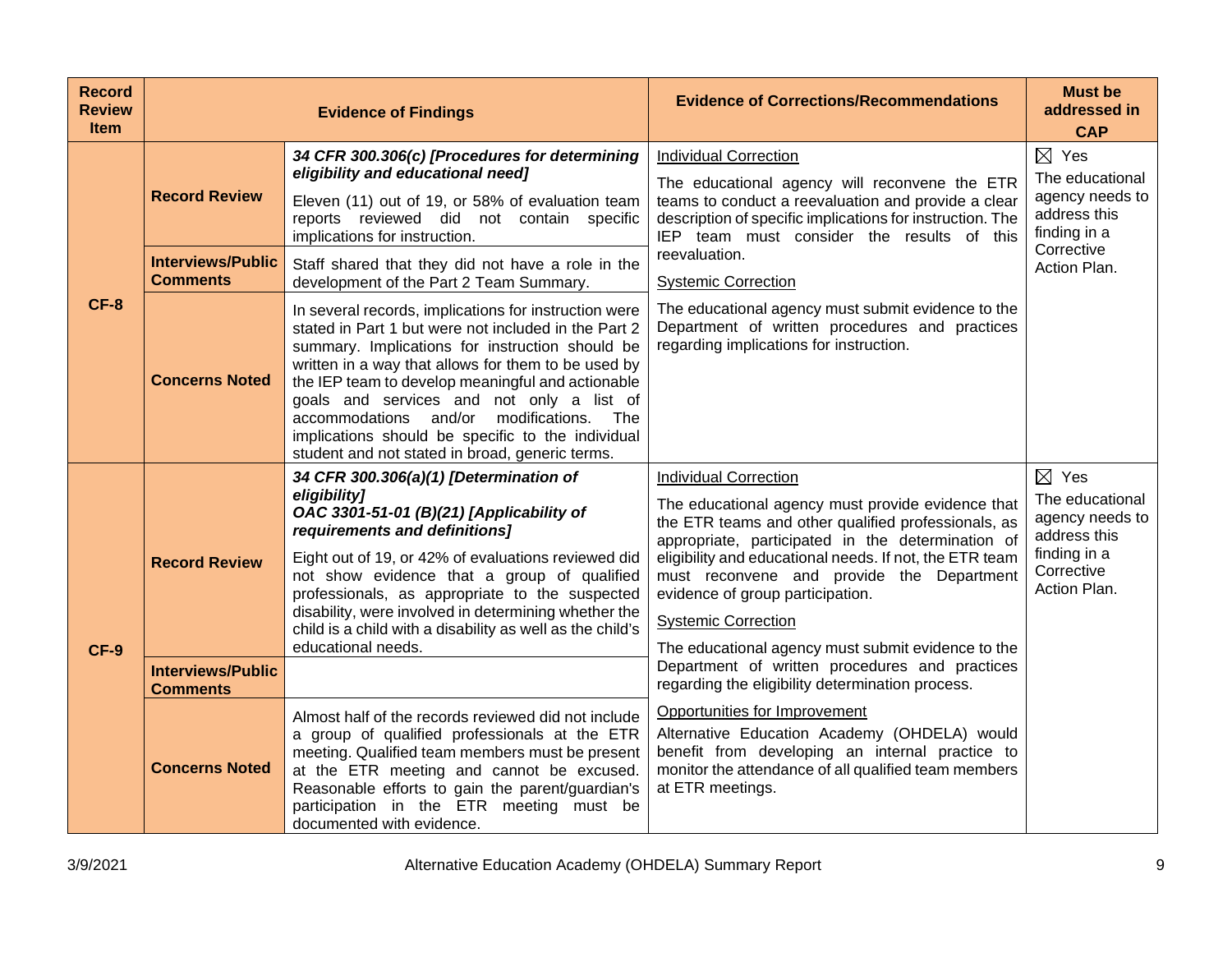| <b>Record</b><br><b>Review</b><br><b>Item</b> |                                             | <b>Evidence of Findings</b>                                                                                                                                                                                                                                                                                                                                                                                                                                                   | <b>Evidence of Corrections/Recommendations</b>                                                                                                                                                                                                                                                                                                                                                                                | <b>Must be</b><br>addressed in<br><b>CAP</b>                                                                        |
|-----------------------------------------------|---------------------------------------------|-------------------------------------------------------------------------------------------------------------------------------------------------------------------------------------------------------------------------------------------------------------------------------------------------------------------------------------------------------------------------------------------------------------------------------------------------------------------------------|-------------------------------------------------------------------------------------------------------------------------------------------------------------------------------------------------------------------------------------------------------------------------------------------------------------------------------------------------------------------------------------------------------------------------------|---------------------------------------------------------------------------------------------------------------------|
| <b>CF-8</b>                                   | <b>Record Review</b>                        | 34 CFR 300.306(c) [Procedures for determining<br>eligibility and educational need]<br>Eleven (11) out of 19, or 58% of evaluation team<br>reports reviewed did not contain specific<br>implications for instruction.                                                                                                                                                                                                                                                          | <b>Individual Correction</b><br>The educational agency will reconvene the ETR<br>teams to conduct a reevaluation and provide a clear<br>description of specific implications for instruction. The<br>IEP team must consider the results of this                                                                                                                                                                               | $\boxtimes$ Yes<br>The educational<br>agency needs to<br>address this<br>finding in a<br>Corrective                 |
|                                               | <b>Interviews/Public</b><br><b>Comments</b> | Staff shared that they did not have a role in the<br>development of the Part 2 Team Summary.                                                                                                                                                                                                                                                                                                                                                                                  | reevaluation.<br><b>Systemic Correction</b>                                                                                                                                                                                                                                                                                                                                                                                   | Action Plan.                                                                                                        |
|                                               | <b>Concerns Noted</b>                       | In several records, implications for instruction were<br>stated in Part 1 but were not included in the Part 2<br>summary. Implications for instruction should be<br>written in a way that allows for them to be used by<br>the IEP team to develop meaningful and actionable<br>goals and services and not only a list of<br>accommodations and/or modifications. The<br>implications should be specific to the individual<br>student and not stated in broad, generic terms. | The educational agency must submit evidence to the<br>Department of written procedures and practices<br>regarding implications for instruction.                                                                                                                                                                                                                                                                               |                                                                                                                     |
| <b>CF-9</b>                                   | <b>Record Review</b>                        | 34 CFR 300.306(a)(1) [Determination of<br>eligibility]<br>OAC 3301-51-01 (B)(21) [Applicability of<br>requirements and definitions]<br>Eight out of 19, or 42% of evaluations reviewed did<br>not show evidence that a group of qualified<br>professionals, as appropriate to the suspected<br>disability, were involved in determining whether the<br>child is a child with a disability as well as the child's<br>educational needs.                                        | <b>Individual Correction</b><br>The educational agency must provide evidence that<br>the ETR teams and other qualified professionals, as<br>appropriate, participated in the determination of<br>eligibility and educational needs. If not, the ETR team<br>must reconvene and provide the Department<br>evidence of group participation.<br><b>Systemic Correction</b><br>The educational agency must submit evidence to the | $\boxtimes$ Yes<br>The educational<br>agency needs to<br>address this<br>finding in a<br>Corrective<br>Action Plan. |
|                                               | <b>Interviews/Public</b><br><b>Comments</b> |                                                                                                                                                                                                                                                                                                                                                                                                                                                                               | Department of written procedures and practices<br>regarding the eligibility determination process.                                                                                                                                                                                                                                                                                                                            |                                                                                                                     |
|                                               | <b>Concerns Noted</b>                       | Almost half of the records reviewed did not include<br>a group of qualified professionals at the ETR<br>meeting. Qualified team members must be present<br>at the ETR meeting and cannot be excused.<br>Reasonable efforts to gain the parent/guardian's<br>participation in the ETR meeting must be<br>documented with evidence.                                                                                                                                             | Opportunities for Improvement<br>Alternative Education Academy (OHDELA) would<br>benefit from developing an internal practice to<br>monitor the attendance of all qualified team members<br>at ETR meetings.                                                                                                                                                                                                                  |                                                                                                                     |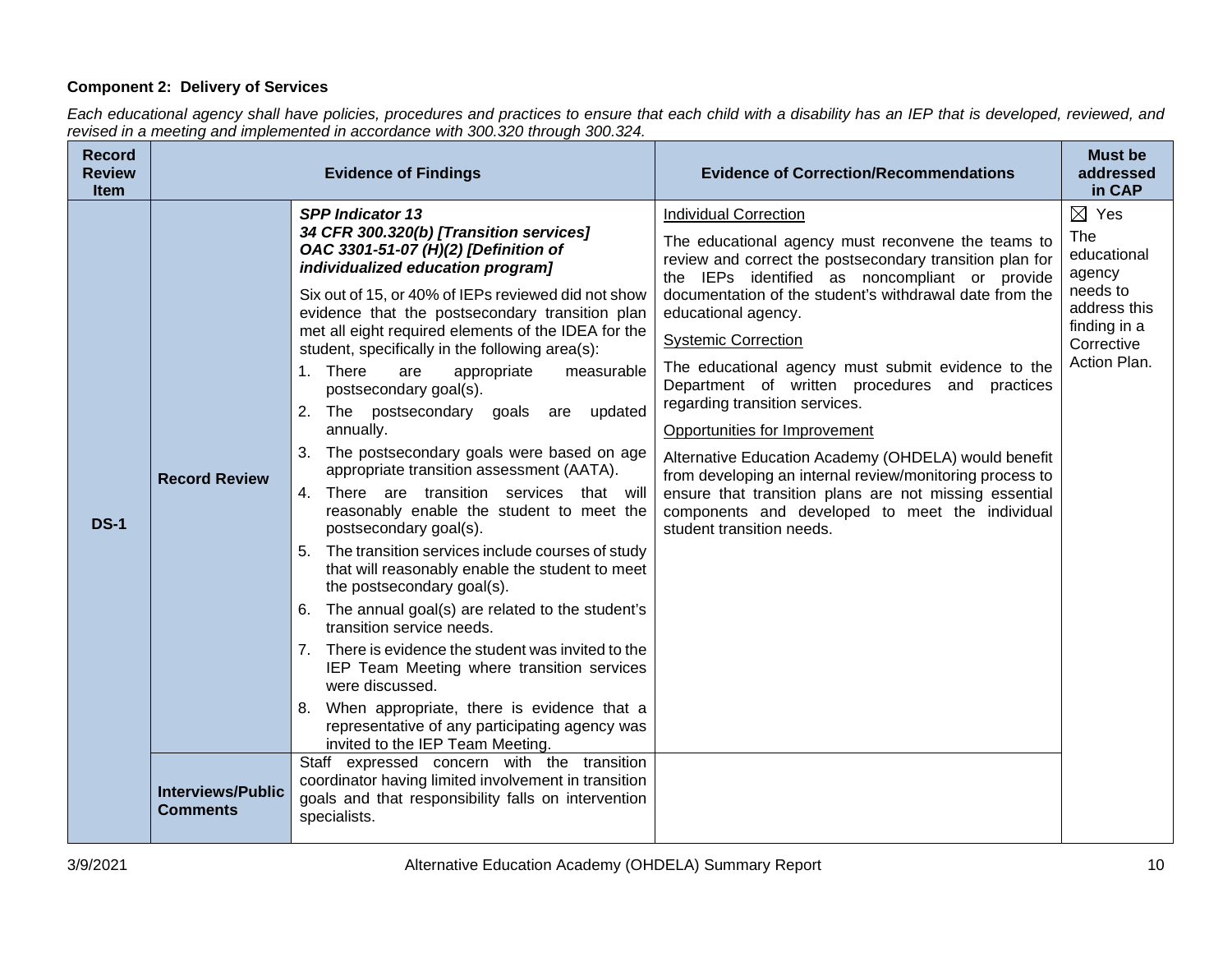# **Component 2: Delivery of Services**

*Each educational agency shall have policies, procedures and practices to ensure that each child with a disability has an IEP that is developed, reviewed, and revised in a meeting and implemented in accordance with 300.320 through 300.324.*

| <b>Record</b><br><b>Review</b><br><b>Item</b> |                                             | <b>Evidence of Findings</b>                                                                                                                                                                                                                                                                                                                                                                                                                                                                                                                                                                                                                                                                                                                                                                                                                                                                                                                                                                                                                                                                                                                                                                                         | <b>Evidence of Correction/Recommendations</b>                                                                                                                                                                                                                                                                                                                                                                                                                                                                                                                                                                                                                                                                                                             | <b>Must be</b><br>addressed<br>in CAP                                                                                     |
|-----------------------------------------------|---------------------------------------------|---------------------------------------------------------------------------------------------------------------------------------------------------------------------------------------------------------------------------------------------------------------------------------------------------------------------------------------------------------------------------------------------------------------------------------------------------------------------------------------------------------------------------------------------------------------------------------------------------------------------------------------------------------------------------------------------------------------------------------------------------------------------------------------------------------------------------------------------------------------------------------------------------------------------------------------------------------------------------------------------------------------------------------------------------------------------------------------------------------------------------------------------------------------------------------------------------------------------|-----------------------------------------------------------------------------------------------------------------------------------------------------------------------------------------------------------------------------------------------------------------------------------------------------------------------------------------------------------------------------------------------------------------------------------------------------------------------------------------------------------------------------------------------------------------------------------------------------------------------------------------------------------------------------------------------------------------------------------------------------------|---------------------------------------------------------------------------------------------------------------------------|
| <b>DS-1</b>                                   | <b>Record Review</b>                        | <b>SPP Indicator 13</b><br>34 CFR 300.320(b) [Transition services]<br>OAC 3301-51-07 (H)(2) [Definition of<br>individualized education program]<br>Six out of 15, or 40% of IEPs reviewed did not show<br>evidence that the postsecondary transition plan<br>met all eight required elements of the IDEA for the<br>student, specifically in the following area(s):<br>1. There<br>appropriate<br>measurable<br>are<br>postsecondary goal(s).<br>2. The postsecondary goals are updated<br>annually.<br>The postsecondary goals were based on age<br>3.<br>appropriate transition assessment (AATA).<br>4. There are transition services that will<br>reasonably enable the student to meet the<br>postsecondary goal(s).<br>5. The transition services include courses of study<br>that will reasonably enable the student to meet<br>the postsecondary goal(s).<br>6. The annual goal(s) are related to the student's<br>transition service needs.<br>7. There is evidence the student was invited to the<br>IEP Team Meeting where transition services<br>were discussed.<br>8. When appropriate, there is evidence that a<br>representative of any participating agency was<br>invited to the IEP Team Meeting. | <b>Individual Correction</b><br>The educational agency must reconvene the teams to<br>review and correct the postsecondary transition plan for<br>the IEPs identified as noncompliant or provide<br>documentation of the student's withdrawal date from the<br>educational agency.<br><b>Systemic Correction</b><br>The educational agency must submit evidence to the<br>Department of written procedures and practices<br>regarding transition services.<br>Opportunities for Improvement<br>Alternative Education Academy (OHDELA) would benefit<br>from developing an internal review/monitoring process to<br>ensure that transition plans are not missing essential<br>components and developed to meet the individual<br>student transition needs. | $\boxtimes$ Yes<br>The<br>educational<br>agency<br>needs to<br>address this<br>finding in a<br>Corrective<br>Action Plan. |
|                                               | <b>Interviews/Public</b><br><b>Comments</b> | Staff expressed concern with the transition<br>coordinator having limited involvement in transition<br>goals and that responsibility falls on intervention<br>specialists.                                                                                                                                                                                                                                                                                                                                                                                                                                                                                                                                                                                                                                                                                                                                                                                                                                                                                                                                                                                                                                          |                                                                                                                                                                                                                                                                                                                                                                                                                                                                                                                                                                                                                                                                                                                                                           |                                                                                                                           |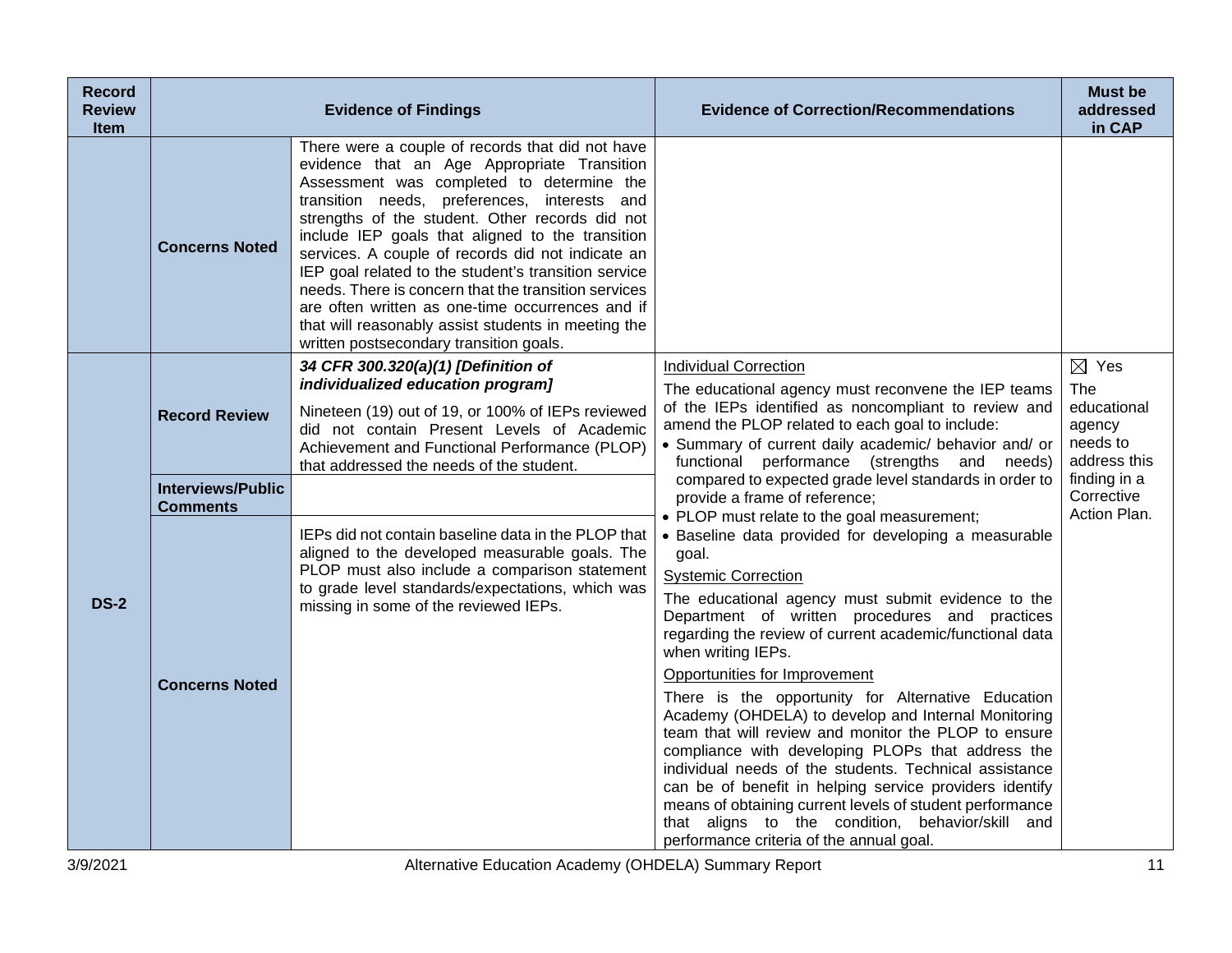| <b>Record</b><br><b>Review</b><br><b>Item</b> |                                             | <b>Evidence of Findings</b>                                                                                                                                                                                                                                                                                                                                                                                                                                                                                                                                                                                                    | <b>Evidence of Correction/Recommendations</b>                                                                                                                                                                                                                                                                                                                                                                                                                                                                                            | <b>Must be</b><br>addressed<br>in CAP                                       |
|-----------------------------------------------|---------------------------------------------|--------------------------------------------------------------------------------------------------------------------------------------------------------------------------------------------------------------------------------------------------------------------------------------------------------------------------------------------------------------------------------------------------------------------------------------------------------------------------------------------------------------------------------------------------------------------------------------------------------------------------------|------------------------------------------------------------------------------------------------------------------------------------------------------------------------------------------------------------------------------------------------------------------------------------------------------------------------------------------------------------------------------------------------------------------------------------------------------------------------------------------------------------------------------------------|-----------------------------------------------------------------------------|
|                                               | <b>Concerns Noted</b>                       | There were a couple of records that did not have<br>evidence that an Age Appropriate Transition<br>Assessment was completed to determine the<br>transition needs, preferences, interests and<br>strengths of the student. Other records did not<br>include IEP goals that aligned to the transition<br>services. A couple of records did not indicate an<br>IEP goal related to the student's transition service<br>needs. There is concern that the transition services<br>are often written as one-time occurrences and if<br>that will reasonably assist students in meeting the<br>written postsecondary transition goals. |                                                                                                                                                                                                                                                                                                                                                                                                                                                                                                                                          |                                                                             |
|                                               | <b>Record Review</b>                        | 34 CFR 300.320(a)(1) [Definition of<br>individualized education program]<br>Nineteen (19) out of 19, or 100% of IEPs reviewed<br>did not contain Present Levels of Academic<br>Achievement and Functional Performance (PLOP)<br>that addressed the needs of the student.                                                                                                                                                                                                                                                                                                                                                       | <b>Individual Correction</b><br>The educational agency must reconvene the IEP teams<br>of the IEPs identified as noncompliant to review and<br>amend the PLOP related to each goal to include:<br>• Summary of current daily academic/ behavior and/ or<br>functional performance (strengths and needs)                                                                                                                                                                                                                                  | $\boxtimes$ Yes<br>The<br>educational<br>agency<br>needs to<br>address this |
| <b>DS-2</b>                                   | <b>Interviews/Public</b><br><b>Comments</b> |                                                                                                                                                                                                                                                                                                                                                                                                                                                                                                                                                                                                                                | compared to expected grade level standards in order to<br>provide a frame of reference;<br>• PLOP must relate to the goal measurement;<br>• Baseline data provided for developing a measurable<br>goal.<br><b>Systemic Correction</b><br>The educational agency must submit evidence to the<br>Department of written procedures and practices<br>regarding the review of current academic/functional data<br>when writing IEPs.                                                                                                          | finding in a<br>Corrective<br>Action Plan.                                  |
|                                               |                                             | IEPs did not contain baseline data in the PLOP that<br>aligned to the developed measurable goals. The<br>PLOP must also include a comparison statement<br>to grade level standards/expectations, which was<br>missing in some of the reviewed IEPs.                                                                                                                                                                                                                                                                                                                                                                            |                                                                                                                                                                                                                                                                                                                                                                                                                                                                                                                                          |                                                                             |
|                                               | <b>Concerns Noted</b>                       |                                                                                                                                                                                                                                                                                                                                                                                                                                                                                                                                                                                                                                | Opportunities for Improvement<br>There is the opportunity for Alternative Education<br>Academy (OHDELA) to develop and Internal Monitoring<br>team that will review and monitor the PLOP to ensure<br>compliance with developing PLOPs that address the<br>individual needs of the students. Technical assistance<br>can be of benefit in helping service providers identify<br>means of obtaining current levels of student performance<br>that aligns to the condition, behavior/skill and<br>performance criteria of the annual goal. |                                                                             |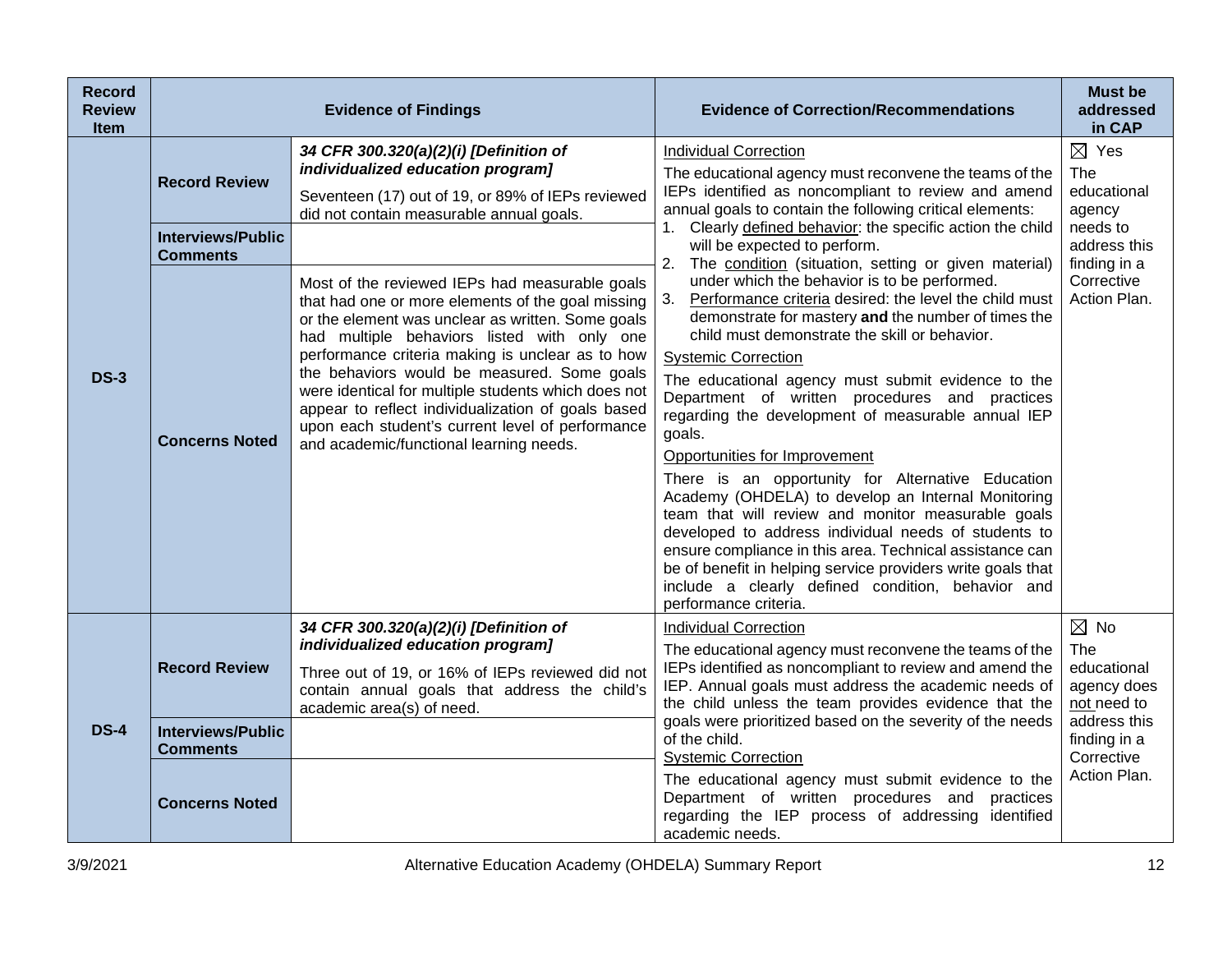| <b>Record</b><br><b>Review</b><br><b>Item</b> |                                             | <b>Evidence of Findings</b>                                                                                                                                                                                                                                                                                                                                                                                                                                                                                            | <b>Evidence of Correction/Recommendations</b>                                                                                                                                                                                                                                                                                                                                                                                                                                                                                                                                                                                                                                                                                                                                                                                                                                                                                                               | <b>Must be</b><br>addressed<br>in CAP           |
|-----------------------------------------------|---------------------------------------------|------------------------------------------------------------------------------------------------------------------------------------------------------------------------------------------------------------------------------------------------------------------------------------------------------------------------------------------------------------------------------------------------------------------------------------------------------------------------------------------------------------------------|-------------------------------------------------------------------------------------------------------------------------------------------------------------------------------------------------------------------------------------------------------------------------------------------------------------------------------------------------------------------------------------------------------------------------------------------------------------------------------------------------------------------------------------------------------------------------------------------------------------------------------------------------------------------------------------------------------------------------------------------------------------------------------------------------------------------------------------------------------------------------------------------------------------------------------------------------------------|-------------------------------------------------|
|                                               | <b>Record Review</b>                        | 34 CFR 300.320(a)(2)(i) [Definition of<br>individualized education program]<br>Seventeen (17) out of 19, or 89% of IEPs reviewed<br>did not contain measurable annual goals.                                                                                                                                                                                                                                                                                                                                           | <b>Individual Correction</b><br>The educational agency must reconvene the teams of the<br>IEPs identified as noncompliant to review and amend<br>annual goals to contain the following critical elements:                                                                                                                                                                                                                                                                                                                                                                                                                                                                                                                                                                                                                                                                                                                                                   | $\boxtimes$ Yes<br>The<br>educational<br>agency |
|                                               | <b>Interviews/Public</b><br><b>Comments</b> |                                                                                                                                                                                                                                                                                                                                                                                                                                                                                                                        | 1. Clearly defined behavior: the specific action the child<br>will be expected to perform.                                                                                                                                                                                                                                                                                                                                                                                                                                                                                                                                                                                                                                                                                                                                                                                                                                                                  | needs to<br>address this                        |
| $DS-3$                                        | <b>Concerns Noted</b>                       | Most of the reviewed IEPs had measurable goals<br>that had one or more elements of the goal missing<br>or the element was unclear as written. Some goals<br>had multiple behaviors listed with only one<br>performance criteria making is unclear as to how<br>the behaviors would be measured. Some goals<br>were identical for multiple students which does not<br>appear to reflect individualization of goals based<br>upon each student's current level of performance<br>and academic/functional learning needs. | 2.<br>The condition (situation, setting or given material)<br>under which the behavior is to be performed.<br>Performance criteria desired: the level the child must<br>3.<br>demonstrate for mastery and the number of times the<br>child must demonstrate the skill or behavior.<br><b>Systemic Correction</b><br>The educational agency must submit evidence to the<br>Department of written procedures and practices<br>regarding the development of measurable annual IEP<br>goals.<br>Opportunities for Improvement<br>There is an opportunity for Alternative Education<br>Academy (OHDELA) to develop an Internal Monitoring<br>team that will review and monitor measurable goals<br>developed to address individual needs of students to<br>ensure compliance in this area. Technical assistance can<br>be of benefit in helping service providers write goals that<br>include a clearly defined condition, behavior and<br>performance criteria. | finding in a<br>Corrective<br>Action Plan.      |
|                                               |                                             | 34 CFR 300.320(a)(2)(i) [Definition of<br>individualized education program]                                                                                                                                                                                                                                                                                                                                                                                                                                            | <b>Individual Correction</b><br>The educational agency must reconvene the teams of the                                                                                                                                                                                                                                                                                                                                                                                                                                                                                                                                                                                                                                                                                                                                                                                                                                                                      | $\boxtimes$ No<br>The                           |
|                                               | <b>Record Review</b>                        | Three out of 19, or 16% of IEPs reviewed did not<br>contain annual goals that address the child's<br>academic area(s) of need.                                                                                                                                                                                                                                                                                                                                                                                         | IEPs identified as noncompliant to review and amend the<br>IEP. Annual goals must address the academic needs of<br>the child unless the team provides evidence that the                                                                                                                                                                                                                                                                                                                                                                                                                                                                                                                                                                                                                                                                                                                                                                                     | educational<br>agency does<br>not need to       |
| $DS-4$                                        | <b>Interviews/Public</b><br><b>Comments</b> |                                                                                                                                                                                                                                                                                                                                                                                                                                                                                                                        | goals were prioritized based on the severity of the needs<br>of the child.<br><b>Systemic Correction</b>                                                                                                                                                                                                                                                                                                                                                                                                                                                                                                                                                                                                                                                                                                                                                                                                                                                    | address this<br>finding in a<br>Corrective      |
|                                               | <b>Concerns Noted</b>                       |                                                                                                                                                                                                                                                                                                                                                                                                                                                                                                                        | The educational agency must submit evidence to the<br>Department of written procedures and practices<br>regarding the IEP process of addressing identified<br>academic needs.                                                                                                                                                                                                                                                                                                                                                                                                                                                                                                                                                                                                                                                                                                                                                                               | Action Plan.                                    |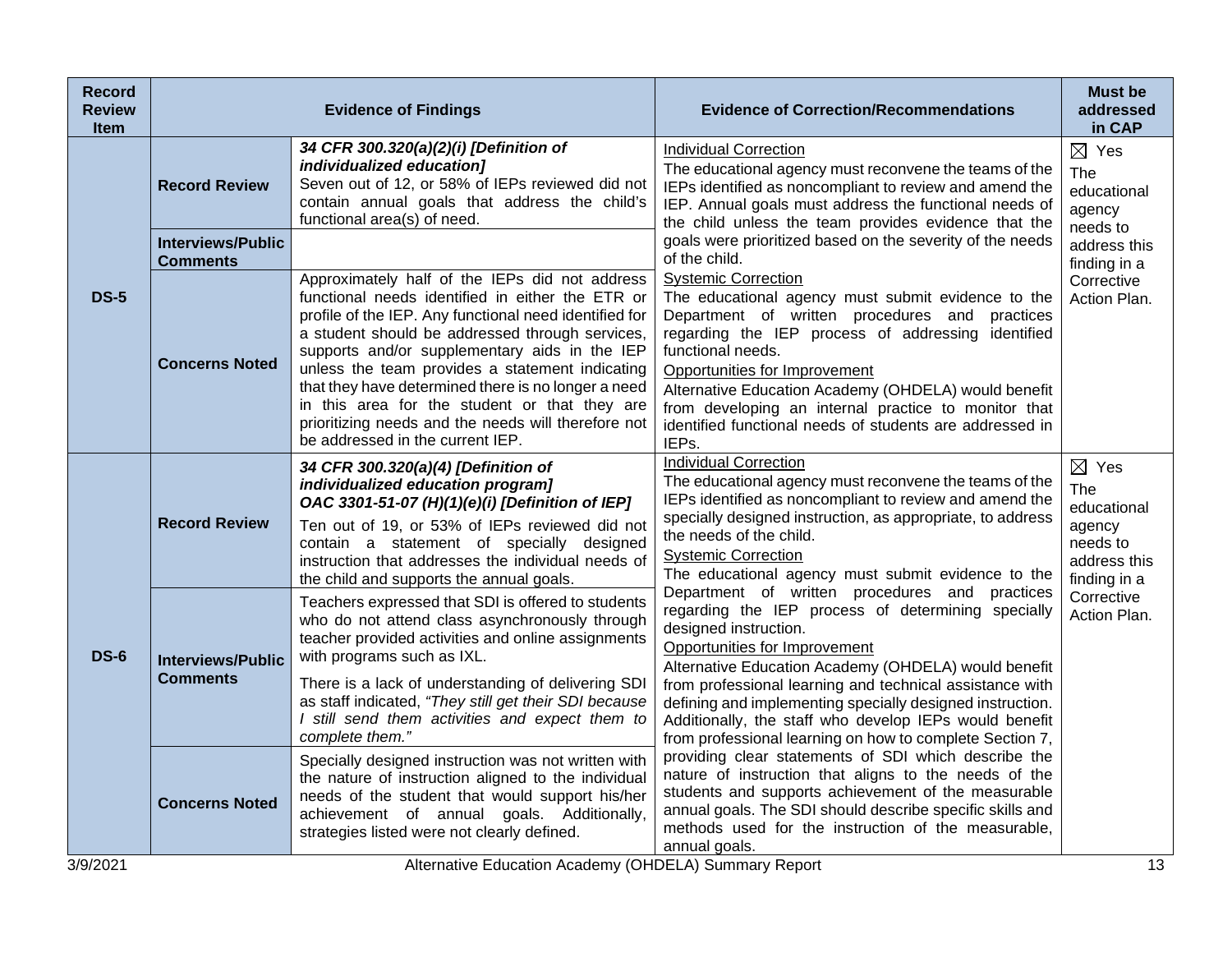| <b>Record</b><br><b>Review</b><br><b>Item</b> |                                             | <b>Evidence of Findings</b>                                                                                                                                                                                                                                                                                                                                                                                                                                                                                                                                                                      | <b>Evidence of Correction/Recommendations</b>                                                                                                                                                                                                                                                                                                                                                                                                                                                                     | <b>Must be</b><br>addressed<br>in CAP                                                       |
|-----------------------------------------------|---------------------------------------------|--------------------------------------------------------------------------------------------------------------------------------------------------------------------------------------------------------------------------------------------------------------------------------------------------------------------------------------------------------------------------------------------------------------------------------------------------------------------------------------------------------------------------------------------------------------------------------------------------|-------------------------------------------------------------------------------------------------------------------------------------------------------------------------------------------------------------------------------------------------------------------------------------------------------------------------------------------------------------------------------------------------------------------------------------------------------------------------------------------------------------------|---------------------------------------------------------------------------------------------|
|                                               | <b>Record Review</b>                        | 34 CFR 300.320(a)(2)(i) [Definition of<br>individualized education]<br>Seven out of 12, or 58% of IEPs reviewed did not<br>contain annual goals that address the child's<br>functional area(s) of need.                                                                                                                                                                                                                                                                                                                                                                                          | <b>Individual Correction</b><br>The educational agency must reconvene the teams of the<br>IEPs identified as noncompliant to review and amend the<br>IEP. Annual goals must address the functional needs of<br>the child unless the team provides evidence that the                                                                                                                                                                                                                                               | $\boxtimes$ Yes<br>The<br>educational<br>agency<br>needs to                                 |
| <b>DS-5</b>                                   | <b>Interviews/Public</b><br><b>Comments</b> |                                                                                                                                                                                                                                                                                                                                                                                                                                                                                                                                                                                                  | goals were prioritized based on the severity of the needs<br>of the child.<br><b>Systemic Correction</b><br>The educational agency must submit evidence to the<br>Department of written procedures and practices<br>regarding the IEP process of addressing identified<br>functional needs.<br>Opportunities for Improvement<br>Alternative Education Academy (OHDELA) would benefit<br>from developing an internal practice to monitor that<br>identified functional needs of students are addressed in<br>IEPs. | address this<br>finding in a                                                                |
|                                               | <b>Concerns Noted</b>                       | Approximately half of the IEPs did not address<br>functional needs identified in either the ETR or<br>profile of the IEP. Any functional need identified for<br>a student should be addressed through services,<br>supports and/or supplementary aids in the IEP<br>unless the team provides a statement indicating<br>that they have determined there is no longer a need<br>in this area for the student or that they are<br>prioritizing needs and the needs will therefore not<br>be addressed in the current IEP.                                                                           |                                                                                                                                                                                                                                                                                                                                                                                                                                                                                                                   | Corrective<br>Action Plan.                                                                  |
| <b>DS-6</b>                                   | <b>Record Review</b>                        | 34 CFR 300.320(a)(4) [Definition of<br>individualized education program]<br>OAC 3301-51-07 (H)(1)(e)(i) [Definition of IEP]<br>Ten out of 19, or 53% of IEPs reviewed did not<br>contain a statement of specially designed<br>instruction that addresses the individual needs of<br>the child and supports the annual goals.                                                                                                                                                                                                                                                                     | <b>Individual Correction</b><br>The educational agency must reconvene the teams of the<br>IEPs identified as noncompliant to review and amend the<br>specially designed instruction, as appropriate, to address<br>the needs of the child.<br><b>Systemic Correction</b><br>The educational agency must submit evidence to the                                                                                                                                                                                    | $\boxtimes$ Yes<br>The<br>educational<br>agency<br>needs to<br>address this<br>finding in a |
|                                               | <b>Interviews/Public</b><br><b>Comments</b> | Teachers expressed that SDI is offered to students<br>who do not attend class asynchronously through<br>teacher provided activities and online assignments<br>with programs such as IXL.<br>There is a lack of understanding of delivering SDI<br>as staff indicated, "They still get their SDI because<br>I still send them activities and expect them to<br>complete them."                                                                                                                                                                                                                    | Department of written procedures and practices<br>regarding the IEP process of determining specially<br>designed instruction.<br>Opportunities for Improvement<br>Alternative Education Academy (OHDELA) would benefit<br>from professional learning and technical assistance with<br>defining and implementing specially designed instruction.<br>Additionally, the staff who develop IEPs would benefit<br>from professional learning on how to complete Section 7,                                             | Corrective<br>Action Plan.                                                                  |
|                                               | <b>Concerns Noted</b>                       | Specially designed instruction was not written with<br>the nature of instruction aligned to the individual<br>needs of the student that would support his/her<br>achievement of annual goals. Additionally,<br>strategies listed were not clearly defined.<br>$\mathbf{L}$ $\mathbf{L}$ $\mathbf{L}$ $\mathbf{L}$ $\mathbf{L}$ $\mathbf{L}$ $\mathbf{L}$ $\mathbf{L}$ $\mathbf{L}$ $\mathbf{L}$ $\mathbf{L}$ $\mathbf{L}$ $\mathbf{L}$ $\mathbf{L}$ $\mathbf{L}$ $\mathbf{L}$ $\mathbf{L}$ $\mathbf{L}$ $\mathbf{L}$ $\mathbf{L}$ $\mathbf{L}$ $\mathbf{L}$ $\mathbf{L}$ $\mathbf{L}$ $\mathbf{$ | providing clear statements of SDI which describe the<br>nature of instruction that aligns to the needs of the<br>students and supports achievement of the measurable<br>annual goals. The SDI should describe specific skills and<br>methods used for the instruction of the measurable,<br>annual goals.<br>.                                                                                                                                                                                                    |                                                                                             |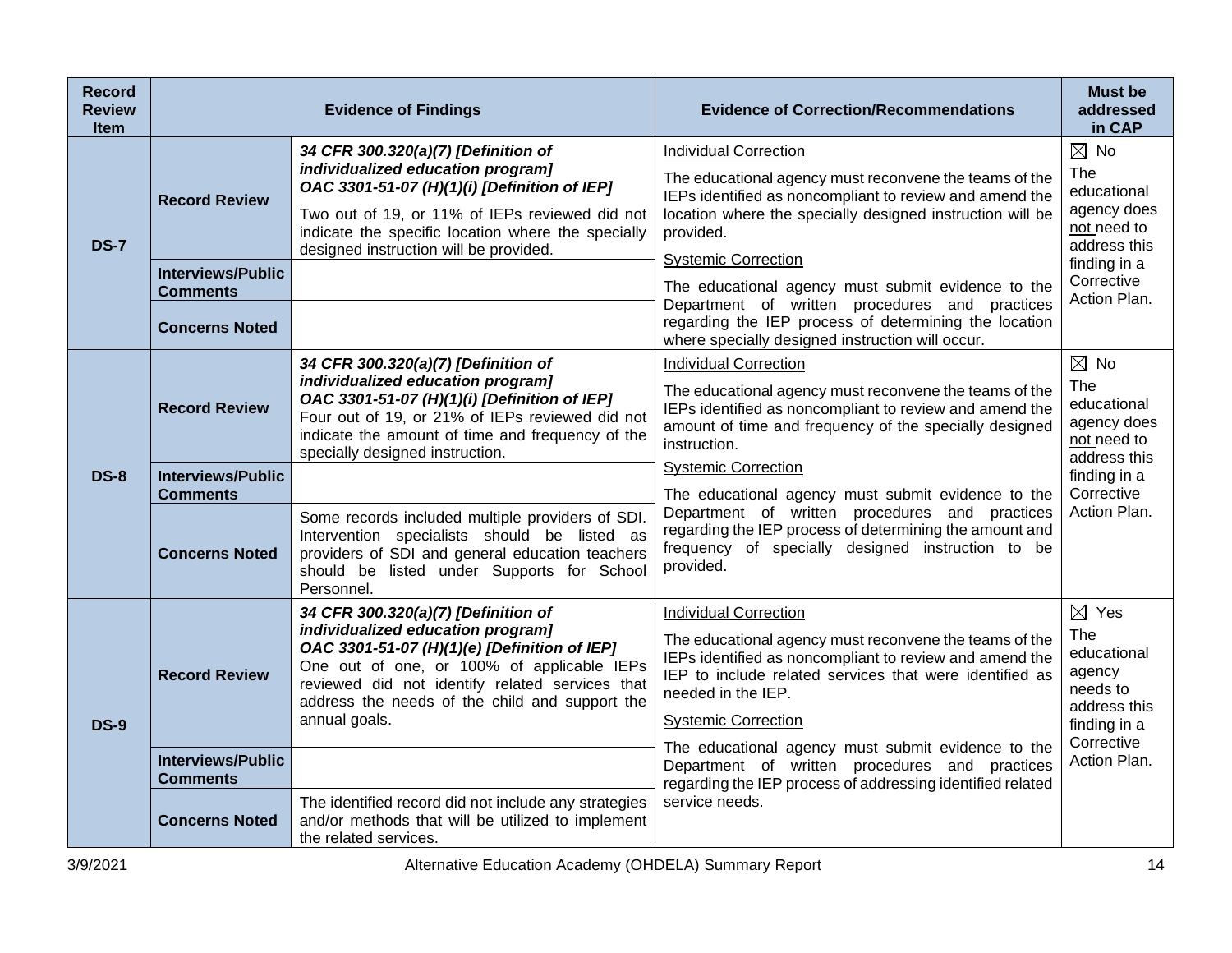| <b>Record</b><br><b>Review</b><br><b>Item</b> |                                                                      | <b>Evidence of Findings</b>                                                                                                                                                                                                                                                                  | <b>Evidence of Correction/Recommendations</b>                                                                                                                                                                                                                    | <b>Must be</b><br>addressed<br>in CAP                                                                     |
|-----------------------------------------------|----------------------------------------------------------------------|----------------------------------------------------------------------------------------------------------------------------------------------------------------------------------------------------------------------------------------------------------------------------------------------|------------------------------------------------------------------------------------------------------------------------------------------------------------------------------------------------------------------------------------------------------------------|-----------------------------------------------------------------------------------------------------------|
| <b>DS-7</b>                                   | <b>Record Review</b>                                                 | 34 CFR 300.320(a)(7) [Definition of<br>individualized education program]<br>OAC 3301-51-07 (H)(1)(i) [Definition of IEP]<br>Two out of 19, or 11% of IEPs reviewed did not<br>indicate the specific location where the specially<br>designed instruction will be provided.                   | <b>Individual Correction</b><br>The educational agency must reconvene the teams of the<br>IEPs identified as noncompliant to review and amend the<br>location where the specially designed instruction will be<br>provided.                                      | $\boxtimes$ No<br>The<br>educational<br>agency does<br>not need to<br>address this                        |
|                                               | <b>Interviews/Public</b><br><b>Comments</b><br><b>Concerns Noted</b> |                                                                                                                                                                                                                                                                                              | <b>Systemic Correction</b><br>The educational agency must submit evidence to the<br>Department of written procedures and practices<br>regarding the IEP process of determining the location<br>where specially designed instruction will occur.                  | finding in a<br>Corrective<br>Action Plan.                                                                |
|                                               | <b>Record Review</b>                                                 | 34 CFR 300.320(a)(7) [Definition of<br>individualized education program]<br>OAC 3301-51-07 (H)(1)(i) [Definition of IEP]<br>Four out of 19, or 21% of IEPs reviewed did not<br>indicate the amount of time and frequency of the<br>specially designed instruction.                           | <b>Individual Correction</b><br>The educational agency must reconvene the teams of the<br>IEPs identified as noncompliant to review and amend the<br>amount of time and frequency of the specially designed<br>instruction.                                      | $\boxtimes$ No<br>The<br>educational<br>agency does<br>not need to<br>address this                        |
| <b>DS-8</b>                                   | <b>Interviews/Public</b><br><b>Comments</b>                          |                                                                                                                                                                                                                                                                                              | <b>Systemic Correction</b><br>The educational agency must submit evidence to the                                                                                                                                                                                 | finding in a<br>Corrective                                                                                |
|                                               | <b>Concerns Noted</b>                                                | Some records included multiple providers of SDI.<br>Intervention specialists should be listed as<br>providers of SDI and general education teachers<br>should be listed under Supports for School<br>Personnel.                                                                              | Department of written procedures and practices<br>regarding the IEP process of determining the amount and<br>frequency of specially designed instruction to be<br>provided.                                                                                      | Action Plan.                                                                                              |
| $DS-9$                                        | <b>Record Review</b>                                                 | 34 CFR 300.320(a)(7) [Definition of<br>individualized education program]<br>OAC 3301-51-07 (H)(1)(e) [Definition of IEP]<br>One out of one, or 100% of applicable IEPs<br>reviewed did not identify related services that<br>address the needs of the child and support the<br>annual goals. | <b>Individual Correction</b><br>The educational agency must reconvene the teams of the<br>IEPs identified as noncompliant to review and amend the<br>IEP to include related services that were identified as<br>needed in the IEP.<br><b>Systemic Correction</b> | $\boxtimes$ Yes<br>The<br>educational<br>agency<br>needs to<br>address this<br>finding in a<br>Corrective |
|                                               | <b>Interviews/Public</b><br><b>Comments</b>                          |                                                                                                                                                                                                                                                                                              | The educational agency must submit evidence to the<br>Department of written procedures and practices<br>regarding the IEP process of addressing identified related                                                                                               | Action Plan.                                                                                              |
|                                               | <b>Concerns Noted</b>                                                | The identified record did not include any strategies<br>and/or methods that will be utilized to implement<br>the related services.                                                                                                                                                           | service needs.                                                                                                                                                                                                                                                   |                                                                                                           |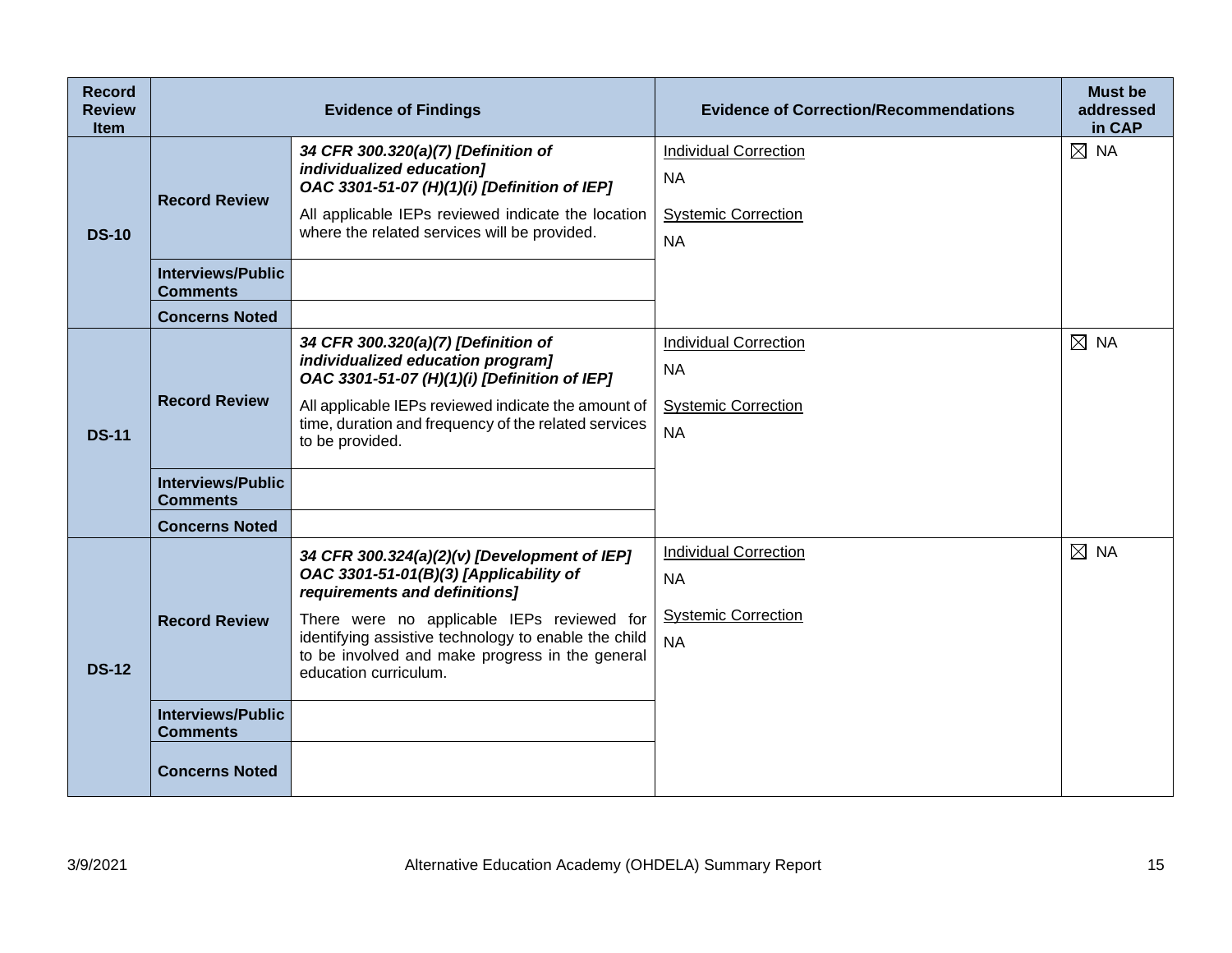| <b>Record</b><br><b>Review</b><br><b>Item</b> |                                                                      | <b>Evidence of Findings</b>                                                                                                                                                                                                                                                                               | <b>Evidence of Correction/Recommendations</b>                                        | <b>Must be</b><br>addressed<br>in CAP |
|-----------------------------------------------|----------------------------------------------------------------------|-----------------------------------------------------------------------------------------------------------------------------------------------------------------------------------------------------------------------------------------------------------------------------------------------------------|--------------------------------------------------------------------------------------|---------------------------------------|
| <b>DS-10</b>                                  | <b>Record Review</b>                                                 | 34 CFR 300.320(a)(7) [Definition of<br>individualized education]<br>OAC 3301-51-07 (H)(1)(i) [Definition of IEP]<br>All applicable IEPs reviewed indicate the location<br>where the related services will be provided.                                                                                    | <b>Individual Correction</b><br><b>NA</b><br><b>Systemic Correction</b><br><b>NA</b> | $\boxtimes$ NA                        |
|                                               | <b>Interviews/Public</b><br><b>Comments</b>                          |                                                                                                                                                                                                                                                                                                           |                                                                                      |                                       |
| <b>DS-11</b>                                  | <b>Concerns Noted</b><br><b>Record Review</b>                        | 34 CFR 300.320(a)(7) [Definition of<br>individualized education program]<br>OAC 3301-51-07 (H)(1)(i) [Definition of IEP]<br>All applicable IEPs reviewed indicate the amount of<br>time, duration and frequency of the related services<br>to be provided.                                                | <b>Individual Correction</b><br><b>NA</b><br><b>Systemic Correction</b><br><b>NA</b> | $\boxtimes$ NA                        |
|                                               | <b>Interviews/Public</b><br><b>Comments</b><br><b>Concerns Noted</b> |                                                                                                                                                                                                                                                                                                           |                                                                                      |                                       |
| <b>DS-12</b>                                  | <b>Record Review</b>                                                 | 34 CFR 300.324(a)(2)(v) [Development of IEP]<br>OAC 3301-51-01(B)(3) [Applicability of<br>requirements and definitions]<br>There were no applicable IEPs reviewed for<br>identifying assistive technology to enable the child<br>to be involved and make progress in the general<br>education curriculum. | <b>Individual Correction</b><br><b>NA</b><br><b>Systemic Correction</b><br><b>NA</b> | $\boxtimes$ NA                        |
|                                               | <b>Interviews/Public</b><br><b>Comments</b><br><b>Concerns Noted</b> |                                                                                                                                                                                                                                                                                                           |                                                                                      |                                       |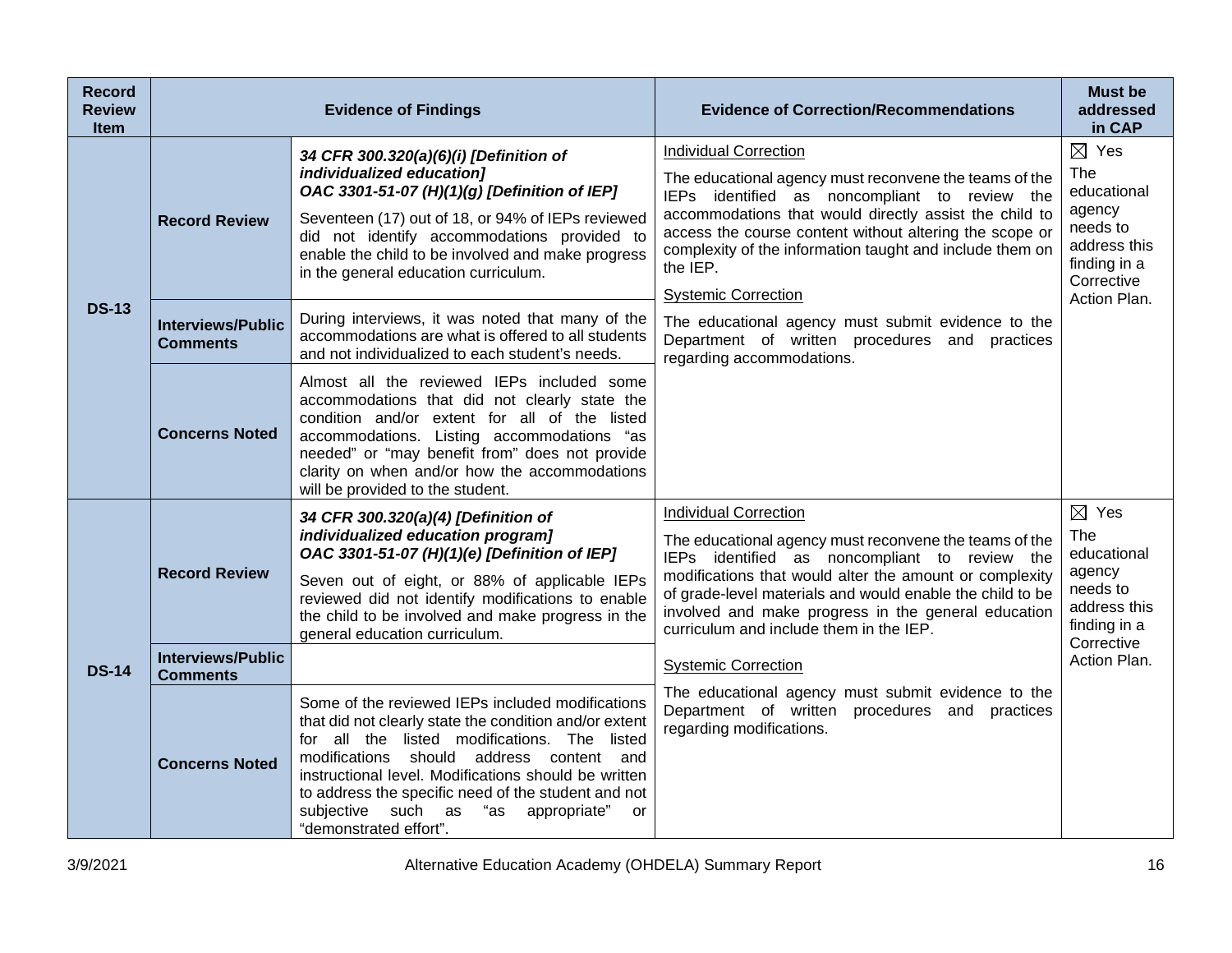| <b>Record</b><br><b>Review</b><br><b>Item</b> | <b>Evidence of Findings</b>                 |                                                                                                                                                                                                                                                                                                                                                                                              | <b>Evidence of Correction/Recommendations</b>                                                                                                                                                                          | <b>Must be</b><br>addressed<br>in CAP                            |
|-----------------------------------------------|---------------------------------------------|----------------------------------------------------------------------------------------------------------------------------------------------------------------------------------------------------------------------------------------------------------------------------------------------------------------------------------------------------------------------------------------------|------------------------------------------------------------------------------------------------------------------------------------------------------------------------------------------------------------------------|------------------------------------------------------------------|
| <b>DS-13</b>                                  | <b>Record Review</b>                        | 34 CFR 300.320(a)(6)(i) [Definition of<br>individualized education]<br>OAC 3301-51-07 (H)(1)(g) [Definition of IEP]                                                                                                                                                                                                                                                                          | <b>Individual Correction</b><br>The educational agency must reconvene the teams of the<br>IEPs identified as noncompliant to review the                                                                                | $\boxtimes$ Yes<br>The<br>educational                            |
|                                               |                                             | Seventeen (17) out of 18, or 94% of IEPs reviewed<br>did not identify accommodations provided to<br>enable the child to be involved and make progress<br>in the general education curriculum.                                                                                                                                                                                                | accommodations that would directly assist the child to<br>access the course content without altering the scope or<br>complexity of the information taught and include them on<br>the IEP.                              | agency<br>needs to<br>address this<br>finding in a<br>Corrective |
|                                               | <b>Interviews/Public</b><br><b>Comments</b> | During interviews, it was noted that many of the<br>accommodations are what is offered to all students<br>and not individualized to each student's needs.                                                                                                                                                                                                                                    | <b>Systemic Correction</b><br>The educational agency must submit evidence to the<br>Department of written procedures and practices<br>regarding accommodations.                                                        | Action Plan.                                                     |
|                                               | <b>Concerns Noted</b>                       | Almost all the reviewed IEPs included some<br>accommodations that did not clearly state the<br>condition and/or extent for all of the listed<br>accommodations. Listing accommodations "as<br>needed" or "may benefit from" does not provide<br>clarity on when and/or how the accommodations<br>will be provided to the student.                                                            |                                                                                                                                                                                                                        |                                                                  |
| <b>DS-14</b>                                  | <b>Record Review</b>                        | 34 CFR 300.320(a)(4) [Definition of<br>individualized education program]<br>OAC 3301-51-07 (H)(1)(e) [Definition of IEP]                                                                                                                                                                                                                                                                     | <b>Individual Correction</b><br>The educational agency must reconvene the teams of the<br>IEPs identified as noncompliant to review the                                                                                | $\boxtimes$ Yes<br>The<br>educational                            |
|                                               |                                             | Seven out of eight, or 88% of applicable IEPs<br>reviewed did not identify modifications to enable<br>the child to be involved and make progress in the<br>general education curriculum.                                                                                                                                                                                                     | modifications that would alter the amount or complexity<br>of grade-level materials and would enable the child to be<br>involved and make progress in the general education<br>curriculum and include them in the IEP. | agency<br>needs to<br>address this<br>finding in a<br>Corrective |
|                                               | <b>Interviews/Public</b><br><b>Comments</b> |                                                                                                                                                                                                                                                                                                                                                                                              | <b>Systemic Correction</b>                                                                                                                                                                                             | Action Plan.                                                     |
|                                               | <b>Concerns Noted</b>                       | Some of the reviewed IEPs included modifications<br>that did not clearly state the condition and/or extent<br>for all the listed modifications. The listed<br>modifications should address content and<br>instructional level. Modifications should be written<br>to address the specific need of the student and not<br>subjective such as "as appropriate"<br>or<br>"demonstrated effort". | The educational agency must submit evidence to the<br>Department of written procedures and practices<br>regarding modifications.                                                                                       |                                                                  |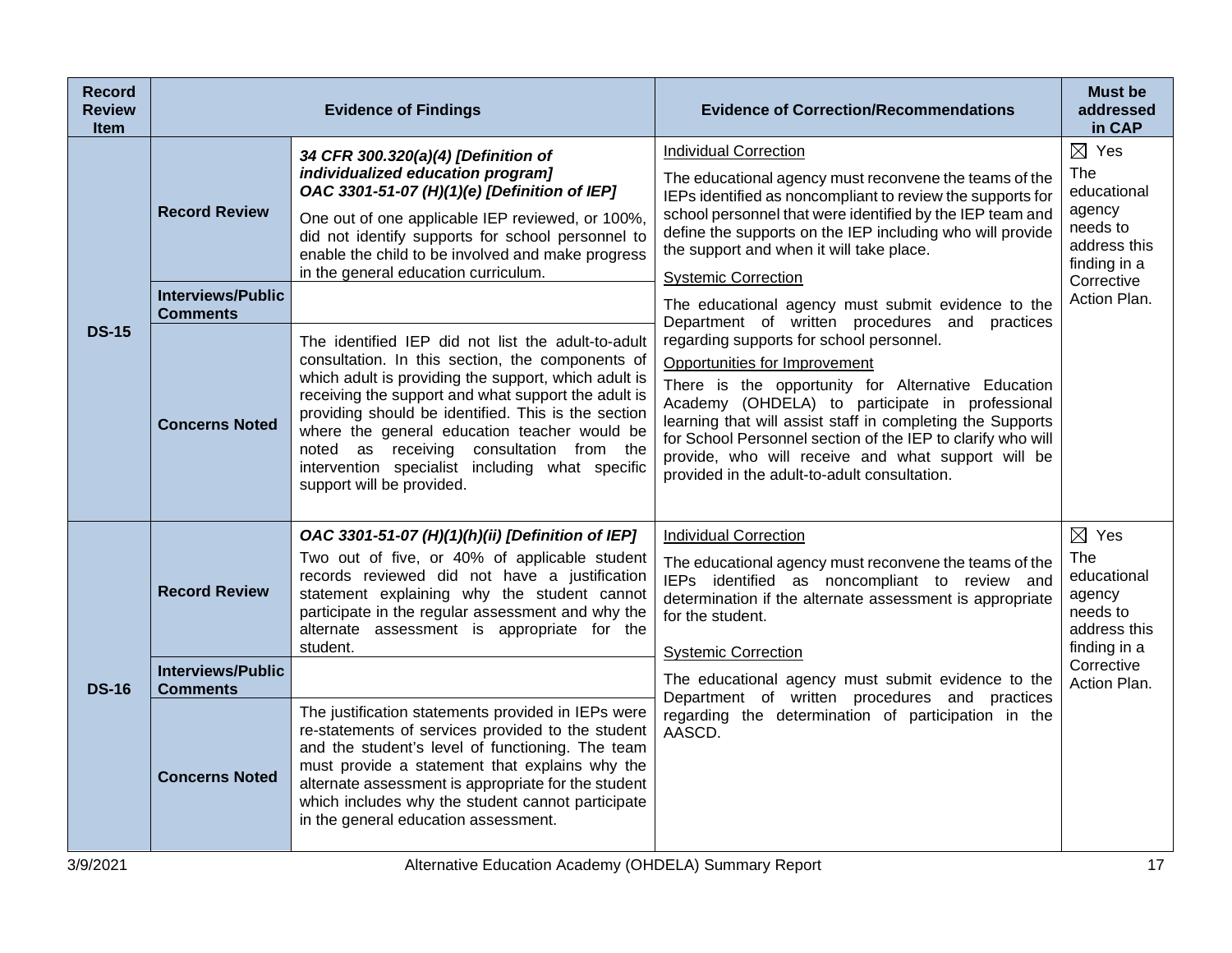| <b>Record</b><br><b>Review</b><br><b>Item</b> | <b>Evidence of Findings</b>                                         |                                                                                                                                                                                                                                                                                                                                                                                                                                                          | <b>Evidence of Correction/Recommendations</b>                                                                                                                                                                                                                                                                                                                                                                                                                           | Must be<br>addressed<br>in CAP                                                                                            |
|-----------------------------------------------|---------------------------------------------------------------------|----------------------------------------------------------------------------------------------------------------------------------------------------------------------------------------------------------------------------------------------------------------------------------------------------------------------------------------------------------------------------------------------------------------------------------------------------------|-------------------------------------------------------------------------------------------------------------------------------------------------------------------------------------------------------------------------------------------------------------------------------------------------------------------------------------------------------------------------------------------------------------------------------------------------------------------------|---------------------------------------------------------------------------------------------------------------------------|
| <b>DS-15</b>                                  | <b>Record Review</b><br><b>Interviews/Public</b>                    | 34 CFR 300.320(a)(4) [Definition of<br>individualized education program]<br>OAC 3301-51-07 (H)(1)(e) [Definition of IEP]<br>One out of one applicable IEP reviewed, or 100%,<br>did not identify supports for school personnel to<br>enable the child to be involved and make progress<br>in the general education curriculum.                                                                                                                           | <b>Individual Correction</b><br>The educational agency must reconvene the teams of the<br>IEPs identified as noncompliant to review the supports for<br>school personnel that were identified by the IEP team and<br>define the supports on the IEP including who will provide<br>the support and when it will take place.<br><b>Systemic Correction</b><br>The educational agency must submit evidence to the                                                          | $\boxtimes$ Yes<br>The<br>educational<br>agency<br>needs to<br>address this<br>finding in a<br>Corrective<br>Action Plan. |
|                                               | <b>Comments</b><br><b>Concerns Noted</b>                            | The identified IEP did not list the adult-to-adult<br>consultation. In this section, the components of<br>which adult is providing the support, which adult is<br>receiving the support and what support the adult is<br>providing should be identified. This is the section<br>where the general education teacher would be<br>noted as receiving consultation from the<br>intervention specialist including what specific<br>support will be provided. | Department of written procedures and practices<br>regarding supports for school personnel.<br>Opportunities for Improvement<br>There is the opportunity for Alternative Education<br>Academy (OHDELA) to participate in professional<br>learning that will assist staff in completing the Supports<br>for School Personnel section of the IEP to clarify who will<br>provide, who will receive and what support will be<br>provided in the adult-to-adult consultation. |                                                                                                                           |
| <b>DS-16</b>                                  | <b>Record Review</b><br><b>Interviews/Public</b><br><b>Comments</b> | OAC 3301-51-07 (H)(1)(h)(ii) [Definition of IEP]<br>Two out of five, or 40% of applicable student<br>records reviewed did not have a justification<br>statement explaining why the student cannot<br>participate in the regular assessment and why the<br>alternate assessment is appropriate for the<br>student.                                                                                                                                        | <b>Individual Correction</b><br>The educational agency must reconvene the teams of the<br>IEPs identified as noncompliant to review and<br>determination if the alternate assessment is appropriate<br>for the student.<br><b>Systemic Correction</b><br>The educational agency must submit evidence to the                                                                                                                                                             | $\boxtimes$ Yes<br>The<br>educational<br>agency<br>needs to<br>address this<br>finding in a<br>Corrective<br>Action Plan. |
|                                               | <b>Concerns Noted</b>                                               | The justification statements provided in IEPs were<br>re-statements of services provided to the student<br>and the student's level of functioning. The team<br>must provide a statement that explains why the<br>alternate assessment is appropriate for the student<br>which includes why the student cannot participate<br>in the general education assessment.                                                                                        | Department of written procedures and practices<br>regarding the determination of participation in the<br>AASCD.                                                                                                                                                                                                                                                                                                                                                         |                                                                                                                           |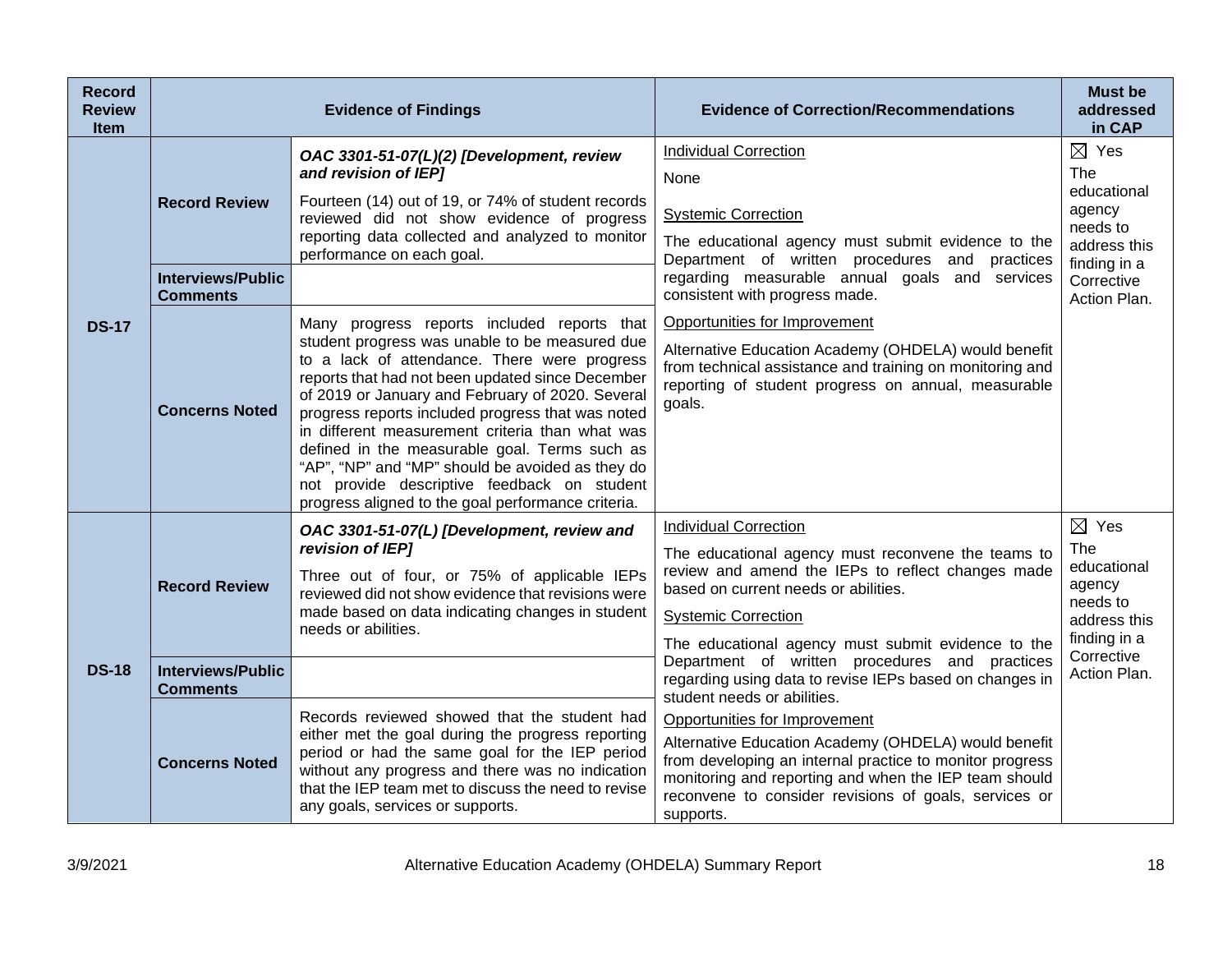| <b>Record</b><br><b>Review</b><br><b>Item</b> | <b>Evidence of Findings</b>                 |                                                                                                                                                                                                                                                                                                                                                                                                                                                                                                                                                                         | <b>Evidence of Correction/Recommendations</b>                                                                                                                                                                                                                                                                         | <b>Must be</b><br>addressed<br>in CAP                                                                     |
|-----------------------------------------------|---------------------------------------------|-------------------------------------------------------------------------------------------------------------------------------------------------------------------------------------------------------------------------------------------------------------------------------------------------------------------------------------------------------------------------------------------------------------------------------------------------------------------------------------------------------------------------------------------------------------------------|-----------------------------------------------------------------------------------------------------------------------------------------------------------------------------------------------------------------------------------------------------------------------------------------------------------------------|-----------------------------------------------------------------------------------------------------------|
|                                               | <b>Record Review</b>                        | OAC 3301-51-07(L)(2) [Development, review<br>and revision of IEP1<br>Fourteen (14) out of 19, or 74% of student records<br>reviewed did not show evidence of progress<br>reporting data collected and analyzed to monitor                                                                                                                                                                                                                                                                                                                                               | <b>Individual Correction</b><br>None<br><b>Systemic Correction</b><br>The educational agency must submit evidence to the                                                                                                                                                                                              | $\boxtimes$ Yes<br>The<br>educational<br>agency<br>needs to<br>address this                               |
| <b>DS-17</b>                                  | <b>Interviews/Public</b><br><b>Comments</b> | performance on each goal.                                                                                                                                                                                                                                                                                                                                                                                                                                                                                                                                               | Department of written procedures and practices<br>regarding measurable annual goals and services<br>consistent with progress made.                                                                                                                                                                                    | finding in a<br>Corrective<br>Action Plan.                                                                |
|                                               | <b>Concerns Noted</b>                       | Many progress reports included reports that<br>student progress was unable to be measured due<br>to a lack of attendance. There were progress<br>reports that had not been updated since December<br>of 2019 or January and February of 2020. Several<br>progress reports included progress that was noted<br>in different measurement criteria than what was<br>defined in the measurable goal. Terms such as<br>"AP", "NP" and "MP" should be avoided as they do<br>not provide descriptive feedback on student<br>progress aligned to the goal performance criteria. | Opportunities for Improvement<br>Alternative Education Academy (OHDELA) would benefit<br>from technical assistance and training on monitoring and<br>reporting of student progress on annual, measurable<br>goals.                                                                                                    |                                                                                                           |
|                                               | <b>Record Review</b>                        | OAC 3301-51-07(L) [Development, review and<br>revision of IEP]<br>Three out of four, or 75% of applicable IEPs<br>reviewed did not show evidence that revisions were<br>made based on data indicating changes in student<br>needs or abilities.                                                                                                                                                                                                                                                                                                                         | <b>Individual Correction</b><br>The educational agency must reconvene the teams to<br>review and amend the IEPs to reflect changes made<br>based on current needs or abilities.<br><b>Systemic Correction</b><br>The educational agency must submit evidence to the<br>Department of written procedures and practices | $\boxtimes$ Yes<br>The<br>educational<br>agency<br>needs to<br>address this<br>finding in a<br>Corrective |
| <b>DS-18</b>                                  | <b>Interviews/Public</b><br><b>Comments</b> |                                                                                                                                                                                                                                                                                                                                                                                                                                                                                                                                                                         | regarding using data to revise IEPs based on changes in<br>student needs or abilities.                                                                                                                                                                                                                                | Action Plan.                                                                                              |
|                                               | <b>Concerns Noted</b>                       | Records reviewed showed that the student had<br>either met the goal during the progress reporting<br>period or had the same goal for the IEP period<br>without any progress and there was no indication<br>that the IEP team met to discuss the need to revise<br>any goals, services or supports.                                                                                                                                                                                                                                                                      | Opportunities for Improvement<br>Alternative Education Academy (OHDELA) would benefit<br>from developing an internal practice to monitor progress<br>monitoring and reporting and when the IEP team should<br>reconvene to consider revisions of goals, services or<br>supports.                                      |                                                                                                           |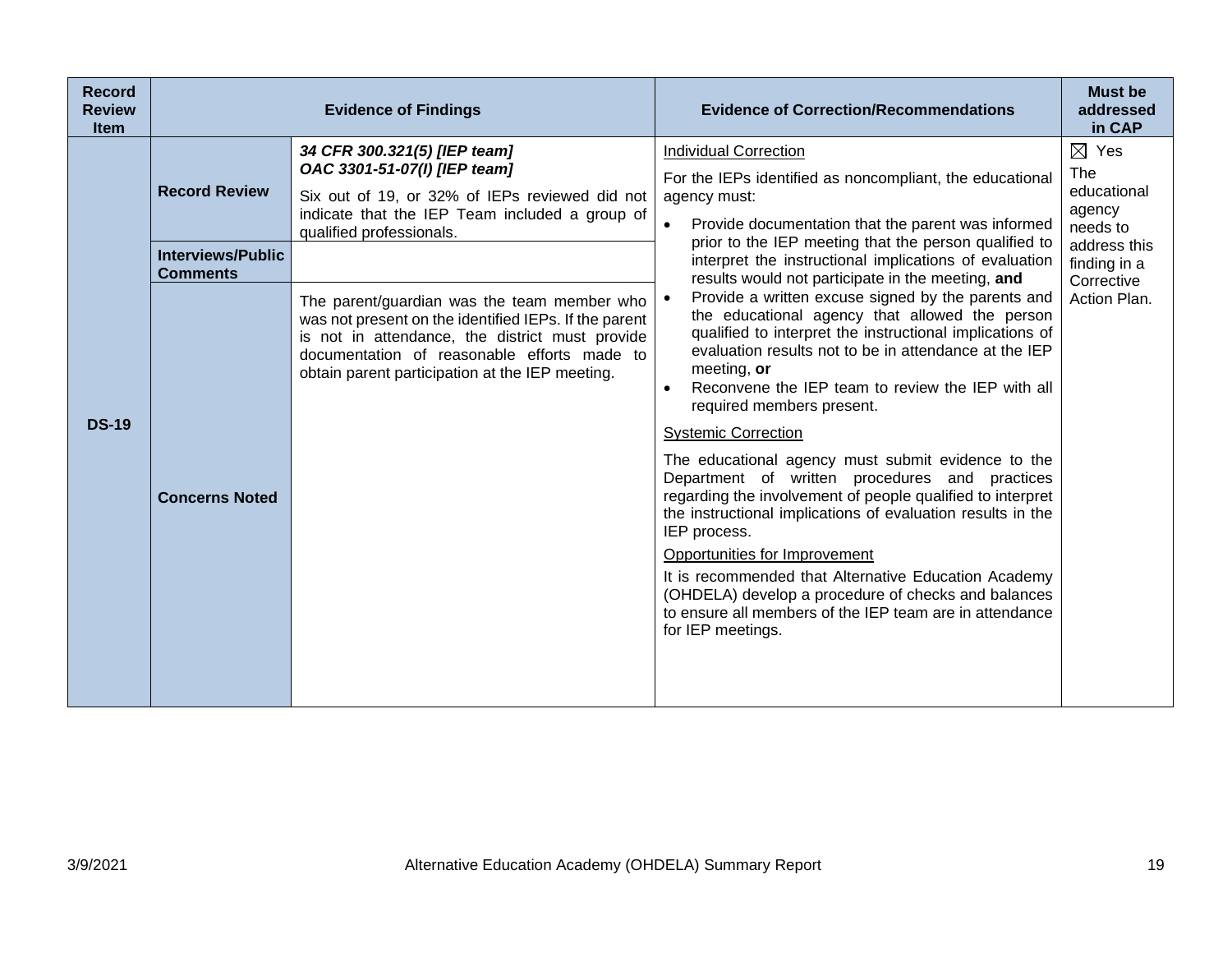| <b>Record</b><br><b>Review</b><br><b>Item</b> | <b>Evidence of Findings</b>                                                                  |                                                                                                                                                                                                                                                                                                                                                                                                                                                           | <b>Evidence of Correction/Recommendations</b>                                                                                                                                                                                                                                                                                                                                                                                                                                                                                                                                                                                                                                                                                                                                                                                                                                                                                                                                                                                                                                                                                                                                                | <b>Must be</b><br>addressed<br>in CAP                                                                                     |
|-----------------------------------------------|----------------------------------------------------------------------------------------------|-----------------------------------------------------------------------------------------------------------------------------------------------------------------------------------------------------------------------------------------------------------------------------------------------------------------------------------------------------------------------------------------------------------------------------------------------------------|----------------------------------------------------------------------------------------------------------------------------------------------------------------------------------------------------------------------------------------------------------------------------------------------------------------------------------------------------------------------------------------------------------------------------------------------------------------------------------------------------------------------------------------------------------------------------------------------------------------------------------------------------------------------------------------------------------------------------------------------------------------------------------------------------------------------------------------------------------------------------------------------------------------------------------------------------------------------------------------------------------------------------------------------------------------------------------------------------------------------------------------------------------------------------------------------|---------------------------------------------------------------------------------------------------------------------------|
| <b>DS-19</b>                                  | <b>Record Review</b><br><b>Interviews/Public</b><br><b>Comments</b><br><b>Concerns Noted</b> | 34 CFR 300.321(5) [IEP team]<br>OAC 3301-51-07(I) [IEP team]<br>Six out of 19, or 32% of IEPs reviewed did not<br>indicate that the IEP Team included a group of<br>qualified professionals.<br>The parent/guardian was the team member who<br>was not present on the identified IEPs. If the parent<br>is not in attendance, the district must provide<br>documentation of reasonable efforts made to<br>obtain parent participation at the IEP meeting. | <b>Individual Correction</b><br>For the IEPs identified as noncompliant, the educational<br>agency must:<br>Provide documentation that the parent was informed<br>$\bullet$<br>prior to the IEP meeting that the person qualified to<br>interpret the instructional implications of evaluation<br>results would not participate in the meeting, and<br>Provide a written excuse signed by the parents and<br>$\bullet$<br>the educational agency that allowed the person<br>qualified to interpret the instructional implications of<br>evaluation results not to be in attendance at the IEP<br>meeting, or<br>Reconvene the IEP team to review the IEP with all<br>required members present.<br><b>Systemic Correction</b><br>The educational agency must submit evidence to the<br>Department of written procedures and practices<br>regarding the involvement of people qualified to interpret<br>the instructional implications of evaluation results in the<br>IEP process.<br>Opportunities for Improvement<br>It is recommended that Alternative Education Academy<br>(OHDELA) develop a procedure of checks and balances<br>to ensure all members of the IEP team are in attendance | $\boxtimes$ Yes<br>The<br>educational<br>agency<br>needs to<br>address this<br>finding in a<br>Corrective<br>Action Plan. |
|                                               |                                                                                              |                                                                                                                                                                                                                                                                                                                                                                                                                                                           | for IEP meetings.                                                                                                                                                                                                                                                                                                                                                                                                                                                                                                                                                                                                                                                                                                                                                                                                                                                                                                                                                                                                                                                                                                                                                                            |                                                                                                                           |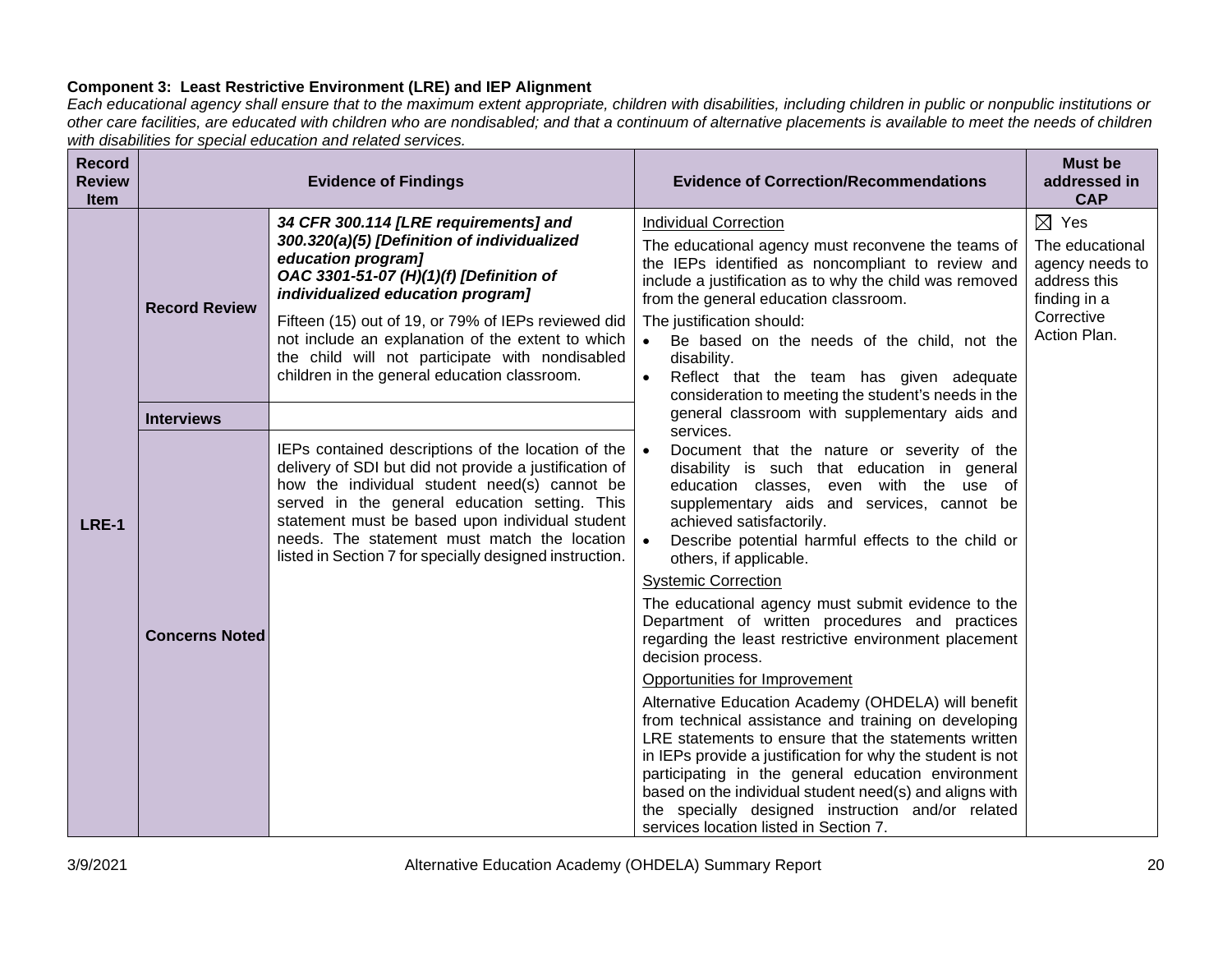## **Component 3: Least Restrictive Environment (LRE) and IEP Alignment**

*Each educational agency shall ensure that to the maximum extent appropriate, children with disabilities, including children in public or nonpublic institutions or other care facilities, are educated with children who are nondisabled; and that a continuum of alternative placements is available to meet the needs of children with disabilities for special education and related services.*

| <b>Record</b><br><b>Review</b><br>Item | <b>Evidence of Findings</b> |                                                                                                                                                                                                                                                                                                                                                                                                           | <b>Evidence of Correction/Recommendations</b>                                                                                                                                                                                                                                                                                                                                                                                                                                                                                                                                                                                                                                                                                                          | <b>Must be</b><br>addressed in<br><b>CAP</b>                                                                        |
|----------------------------------------|-----------------------------|-----------------------------------------------------------------------------------------------------------------------------------------------------------------------------------------------------------------------------------------------------------------------------------------------------------------------------------------------------------------------------------------------------------|--------------------------------------------------------------------------------------------------------------------------------------------------------------------------------------------------------------------------------------------------------------------------------------------------------------------------------------------------------------------------------------------------------------------------------------------------------------------------------------------------------------------------------------------------------------------------------------------------------------------------------------------------------------------------------------------------------------------------------------------------------|---------------------------------------------------------------------------------------------------------------------|
| <b>LRE-1</b>                           | <b>Record Review</b>        | 34 CFR 300.114 [LRE requirements] and<br>300.320(a)(5) [Definition of individualized<br>education program]<br>OAC 3301-51-07 (H)(1)(f) [Definition of<br>individualized education program]<br>Fifteen (15) out of 19, or 79% of IEPs reviewed did<br>not include an explanation of the extent to which<br>the child will not participate with nondisabled<br>children in the general education classroom. | <b>Individual Correction</b><br>The educational agency must reconvene the teams of<br>the IEPs identified as noncompliant to review and<br>include a justification as to why the child was removed<br>from the general education classroom.<br>The justification should:<br>Be based on the needs of the child, not the<br>disability.<br>Reflect that the team has given adequate                                                                                                                                                                                                                                                                                                                                                                     | $\boxtimes$ Yes<br>The educational<br>agency needs to<br>address this<br>finding in a<br>Corrective<br>Action Plan. |
|                                        | <b>Interviews</b>           |                                                                                                                                                                                                                                                                                                                                                                                                           | consideration to meeting the student's needs in the<br>general classroom with supplementary aids and                                                                                                                                                                                                                                                                                                                                                                                                                                                                                                                                                                                                                                                   |                                                                                                                     |
|                                        | <b>Concerns Noted</b>       | IEPs contained descriptions of the location of the<br>delivery of SDI but did not provide a justification of<br>how the individual student need(s) cannot be<br>served in the general education setting. This<br>statement must be based upon individual student<br>needs. The statement must match the location<br>listed in Section 7 for specially designed instruction.                               | services.<br>$\bullet$<br>Document that the nature or severity of the<br>disability is such that education in general<br>education classes, even with the use of<br>supplementary aids and services, cannot be<br>achieved satisfactorily.<br>Describe potential harmful effects to the child or<br>others, if applicable.<br><b>Systemic Correction</b><br>The educational agency must submit evidence to the<br>Department of written procedures and practices<br>regarding the least restrictive environment placement<br>decision process.<br>Opportunities for Improvement<br>Alternative Education Academy (OHDELA) will benefit<br>from technical assistance and training on developing<br>LRE statements to ensure that the statements written |                                                                                                                     |
|                                        |                             |                                                                                                                                                                                                                                                                                                                                                                                                           | in IEPs provide a justification for why the student is not<br>participating in the general education environment<br>based on the individual student need(s) and aligns with<br>the specially designed instruction and/or related<br>services location listed in Section 7.                                                                                                                                                                                                                                                                                                                                                                                                                                                                             |                                                                                                                     |